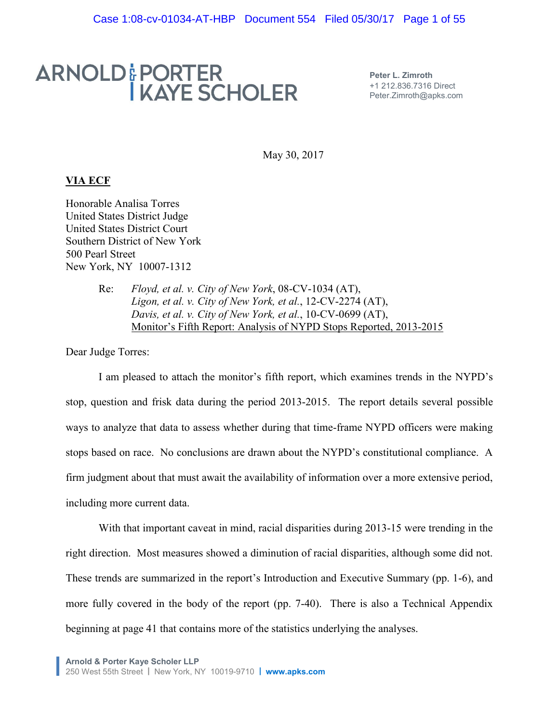# ARNOLD & PORTER<br>I KAYE SCHOLER

**Peter L. Zimroth** +1 212.836.7316 Direct Peter.Zimroth@apks.com

May 30, 2017

# **VIA ECF**

Honorable Analisa Torres United States District Judge United States District Court Southern District of New York 500 Pearl Street New York, NY 10007-1312

> Re: *Floyd, et al. v. City of New York*, 08-CV-1034 (AT), *Ligon, et al. v. City of New York, et al.*, 12-CV-2274 (AT), *Davis, et al. v. City of New York, et al.*, 10-CV-0699 (AT), Monitor's Fifth Report: Analysis of NYPD Stops Reported, 2013-2015

Dear Judge Torres:

I am pleased to attach the monitor's fifth report, which examines trends in the NYPD's stop, question and frisk data during the period 2013-2015. The report details several possible ways to analyze that data to assess whether during that time-frame NYPD officers were making stops based on race. No conclusions are drawn about the NYPD's constitutional compliance. A firm judgment about that must await the availability of information over a more extensive period, including more current data.

With that important caveat in mind, racial disparities during 2013-15 were trending in the right direction. Most measures showed a diminution of racial disparities, although some did not. These trends are summarized in the report's Introduction and Executive Summary (pp. 1-6), and more fully covered in the body of the report (pp. 7-40). There is also a Technical Appendix beginning at page 41 that contains more of the statistics underlying the analyses.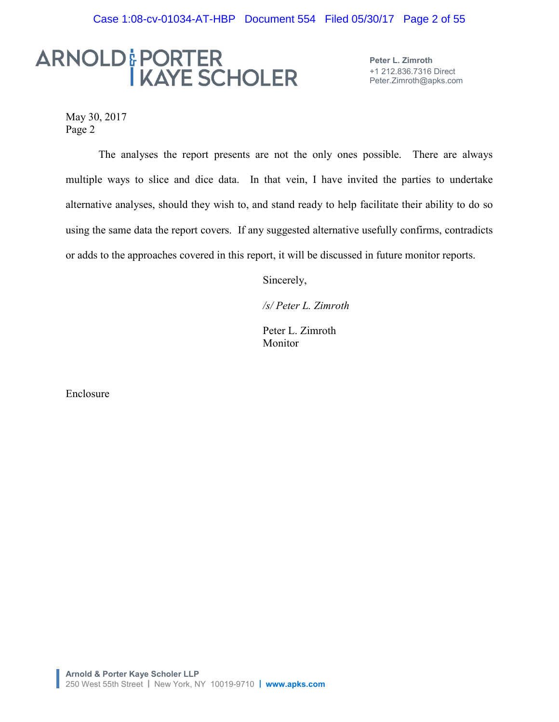# ARNOLD & PORTER<br>I KAYE SCHOLER

**Peter L. Zimroth** +1 212.836.7316 Direct Peter.Zimroth@apks.com

May 30, 2017 Page 2

The analyses the report presents are not the only ones possible. There are always multiple ways to slice and dice data. In that vein, I have invited the parties to undertake alternative analyses, should they wish to, and stand ready to help facilitate their ability to do so using the same data the report covers. If any suggested alternative usefully confirms, contradicts or adds to the approaches covered in this report, it will be discussed in future monitor reports.

Sincerely,

*/s/ Peter L. Zimroth*

Peter L. Zimroth Monitor

Enclosure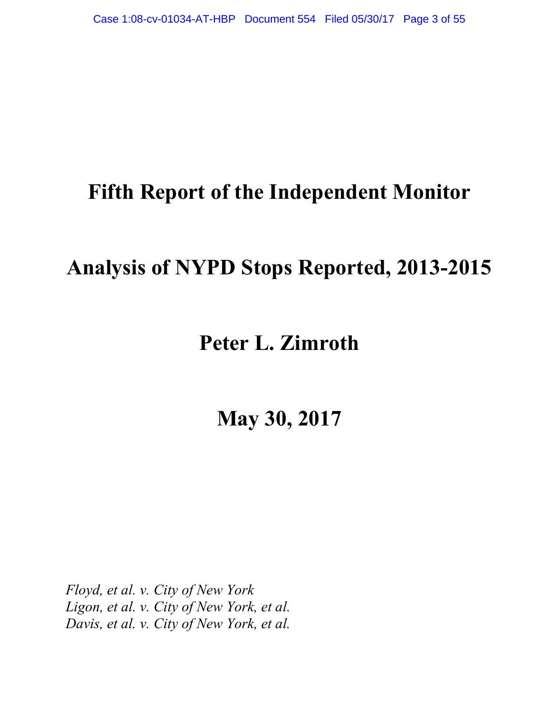# **Fifth Report of the Independent Monitor**

# **Analysis of NYPD Stops Reported, 2013-2015**

# **Peter L. Zimroth**

**May 30, 2017**

*Floyd, et al. v. City of New York Ligon, et al. v. City of New York, et al. Davis, et al. v. City of New York, et al.*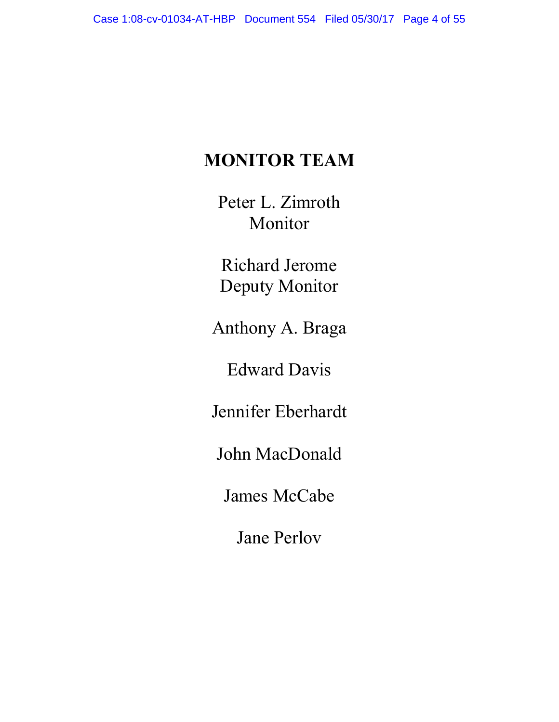# **MONITOR TEAM**

Peter L. Zimroth Monitor

Richard Jerome Deputy Monitor

Anthony A. Braga

Edward Davis

Jennifer Eberhardt

John MacDonald

James McCabe

Jane Perlov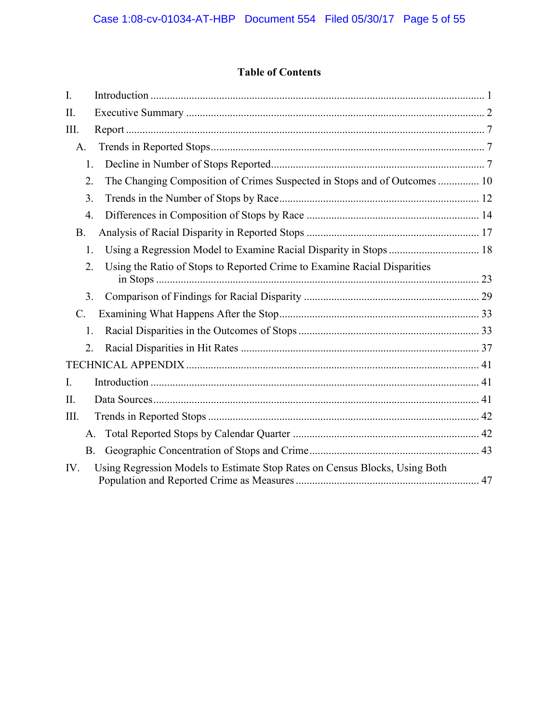# **Table of Contents**

| I.               |                                                                             |  |
|------------------|-----------------------------------------------------------------------------|--|
| II.              |                                                                             |  |
| III.             |                                                                             |  |
| A <sub>1</sub>   |                                                                             |  |
| 1.               |                                                                             |  |
| 2.               | The Changing Composition of Crimes Suspected in Stops and of Outcomes  10   |  |
| 3.               |                                                                             |  |
| 4.               |                                                                             |  |
| <b>B.</b>        |                                                                             |  |
| 1.               | Using a Regression Model to Examine Racial Disparity in Stops  18           |  |
| 2.               | Using the Ratio of Stops to Reported Crime to Examine Racial Disparities    |  |
| 3.               |                                                                             |  |
| $\mathcal{C}$ .  |                                                                             |  |
| 1.               |                                                                             |  |
| $\overline{2}$ . |                                                                             |  |
|                  |                                                                             |  |
| $I_{\cdot}$      |                                                                             |  |
| II.              |                                                                             |  |
| III.             |                                                                             |  |
| $A_{\cdot}$      |                                                                             |  |
| <b>B.</b>        |                                                                             |  |
| IV.              | Using Regression Models to Estimate Stop Rates on Census Blocks, Using Both |  |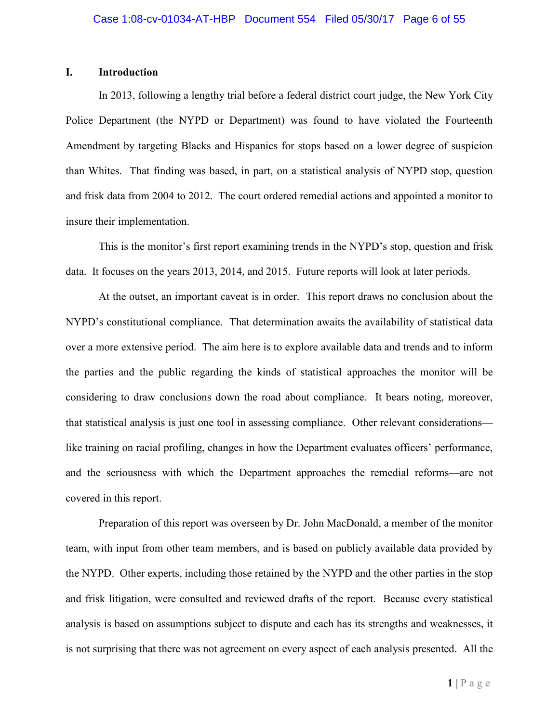## **I. Introduction**

In 2013, following a lengthy trial before a federal district court judge, the New York City Police Department (the NYPD or Department) was found to have violated the Fourteenth Amendment by targeting Blacks and Hispanics for stops based on a lower degree of suspicion than Whites. That finding was based, in part, on a statistical analysis of NYPD stop, question and frisk data from 2004 to 2012. The court ordered remedial actions and appointed a monitor to insure their implementation.

This is the monitor's first report examining trends in the NYPD's stop, question and frisk data. It focuses on the years 2013, 2014, and 2015. Future reports will look at later periods.

At the outset, an important caveat is in order. This report draws no conclusion about the NYPD's constitutional compliance. That determination awaits the availability of statistical data over a more extensive period. The aim here is to explore available data and trends and to inform the parties and the public regarding the kinds of statistical approaches the monitor will be considering to draw conclusions down the road about compliance. It bears noting, moreover, that statistical analysis is just one tool in assessing compliance. Other relevant considerations like training on racial profiling, changes in how the Department evaluates officers' performance, and the seriousness with which the Department approaches the remedial reforms—are not covered in this report.

Preparation of this report was overseen by Dr. John MacDonald, a member of the monitor team, with input from other team members, and is based on publicly available data provided by the NYPD. Other experts, including those retained by the NYPD and the other parties in the stop and frisk litigation, were consulted and reviewed drafts of the report. Because every statistical analysis is based on assumptions subject to dispute and each has its strengths and weaknesses, it is not surprising that there was not agreement on every aspect of each analysis presented. All the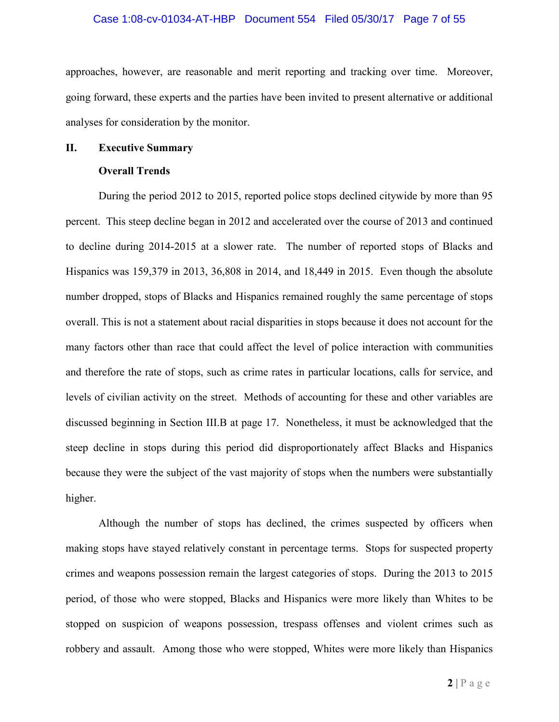#### Case 1:08-cv-01034-AT-HBP Document 554 Filed 05/30/17 Page 7 of 55

approaches, however, are reasonable and merit reporting and tracking over time. Moreover, going forward, these experts and the parties have been invited to present alternative or additional analyses for consideration by the monitor.

#### **II. Executive Summary**

#### **Overall Trends**

During the period 2012 to 2015, reported police stops declined citywide by more than 95 percent. This steep decline began in 2012 and accelerated over the course of 2013 and continued to decline during 2014-2015 at a slower rate. The number of reported stops of Blacks and Hispanics was 159,379 in 2013, 36,808 in 2014, and 18,449 in 2015. Even though the absolute number dropped, stops of Blacks and Hispanics remained roughly the same percentage of stops overall. This is not a statement about racial disparities in stops because it does not account for the many factors other than race that could affect the level of police interaction with communities and therefore the rate of stops, such as crime rates in particular locations, calls for service, and levels of civilian activity on the street. Methods of accounting for these and other variables are discussed beginning in Section III.B at page 17. Nonetheless, it must be acknowledged that the steep decline in stops during this period did disproportionately affect Blacks and Hispanics because they were the subject of the vast majority of stops when the numbers were substantially higher.

Although the number of stops has declined, the crimes suspected by officers when making stops have stayed relatively constant in percentage terms. Stops for suspected property crimes and weapons possession remain the largest categories of stops. During the 2013 to 2015 period, of those who were stopped, Blacks and Hispanics were more likely than Whites to be stopped on suspicion of weapons possession, trespass offenses and violent crimes such as robbery and assault. Among those who were stopped, Whites were more likely than Hispanics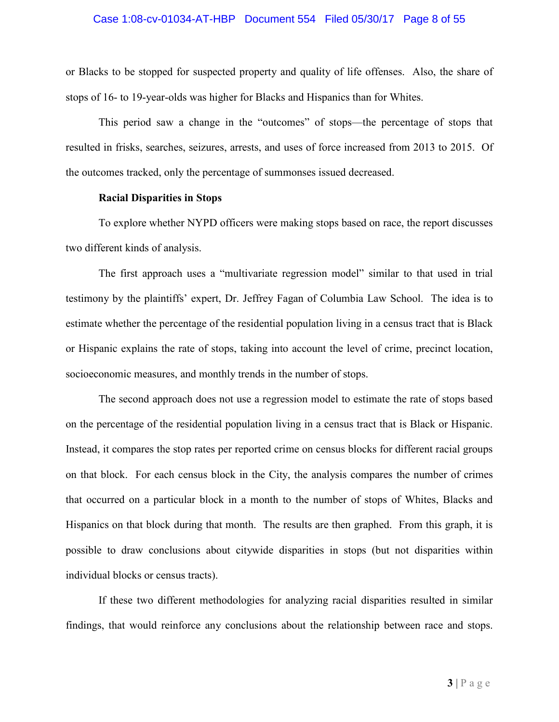#### Case 1:08-cv-01034-AT-HBP Document 554 Filed 05/30/17 Page 8 of 55

or Blacks to be stopped for suspected property and quality of life offenses. Also, the share of stops of 16- to 19-year-olds was higher for Blacks and Hispanics than for Whites.

This period saw a change in the "outcomes" of stops—the percentage of stops that resulted in frisks, searches, seizures, arrests, and uses of force increased from 2013 to 2015. Of the outcomes tracked, only the percentage of summonses issued decreased.

#### **Racial Disparities in Stops**

To explore whether NYPD officers were making stops based on race, the report discusses two different kinds of analysis.

The first approach uses a "multivariate regression model" similar to that used in trial testimony by the plaintiffs' expert, Dr. Jeffrey Fagan of Columbia Law School. The idea is to estimate whether the percentage of the residential population living in a census tract that is Black or Hispanic explains the rate of stops, taking into account the level of crime, precinct location, socioeconomic measures, and monthly trends in the number of stops.

The second approach does not use a regression model to estimate the rate of stops based on the percentage of the residential population living in a census tract that is Black or Hispanic. Instead, it compares the stop rates per reported crime on census blocks for different racial groups on that block. For each census block in the City, the analysis compares the number of crimes that occurred on a particular block in a month to the number of stops of Whites, Blacks and Hispanics on that block during that month. The results are then graphed. From this graph, it is possible to draw conclusions about citywide disparities in stops (but not disparities within individual blocks or census tracts).

If these two different methodologies for analyzing racial disparities resulted in similar findings, that would reinforce any conclusions about the relationship between race and stops.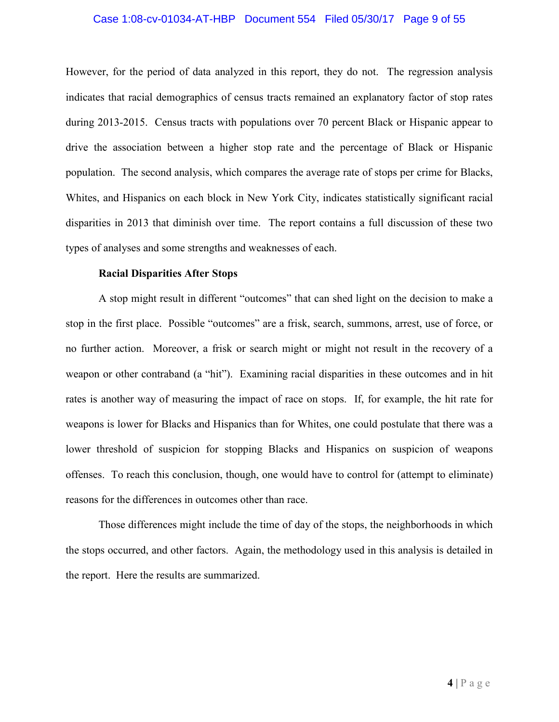#### Case 1:08-cv-01034-AT-HBP Document 554 Filed 05/30/17 Page 9 of 55

However, for the period of data analyzed in this report, they do not. The regression analysis indicates that racial demographics of census tracts remained an explanatory factor of stop rates during 2013-2015. Census tracts with populations over 70 percent Black or Hispanic appear to drive the association between a higher stop rate and the percentage of Black or Hispanic population. The second analysis, which compares the average rate of stops per crime for Blacks, Whites, and Hispanics on each block in New York City, indicates statistically significant racial disparities in 2013 that diminish over time. The report contains a full discussion of these two types of analyses and some strengths and weaknesses of each.

#### **Racial Disparities After Stops**

A stop might result in different "outcomes" that can shed light on the decision to make a stop in the first place. Possible "outcomes" are a frisk, search, summons, arrest, use of force, or no further action. Moreover, a frisk or search might or might not result in the recovery of a weapon or other contraband (a "hit"). Examining racial disparities in these outcomes and in hit rates is another way of measuring the impact of race on stops. If, for example, the hit rate for weapons is lower for Blacks and Hispanics than for Whites, one could postulate that there was a lower threshold of suspicion for stopping Blacks and Hispanics on suspicion of weapons offenses. To reach this conclusion, though, one would have to control for (attempt to eliminate) reasons for the differences in outcomes other than race.

Those differences might include the time of day of the stops, the neighborhoods in which the stops occurred, and other factors. Again, the methodology used in this analysis is detailed in the report. Here the results are summarized.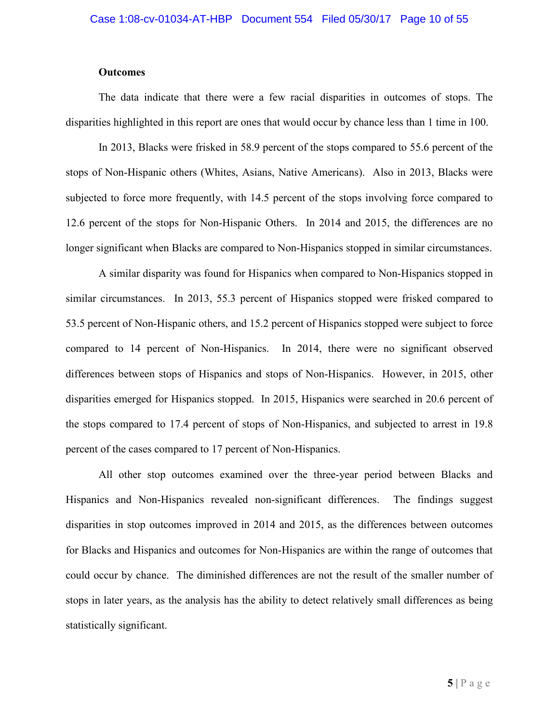#### **Outcomes**

The data indicate that there were a few racial disparities in outcomes of stops. The disparities highlighted in this report are ones that would occur by chance less than 1 time in 100.

In 2013, Blacks were frisked in 58.9 percent of the stops compared to 55.6 percent of the stops of Non-Hispanic others (Whites, Asians, Native Americans). Also in 2013, Blacks were subjected to force more frequently, with 14.5 percent of the stops involving force compared to 12.6 percent of the stops for Non-Hispanic Others. In 2014 and 2015, the differences are no longer significant when Blacks are compared to Non-Hispanics stopped in similar circumstances.

A similar disparity was found for Hispanics when compared to Non-Hispanics stopped in similar circumstances. In 2013, 55.3 percent of Hispanics stopped were frisked compared to 53.5 percent of Non-Hispanic others, and 15.2 percent of Hispanics stopped were subject to force compared to 14 percent of Non-Hispanics. In 2014, there were no significant observed differences between stops of Hispanics and stops of Non-Hispanics. However, in 2015, other disparities emerged for Hispanics stopped. In 2015, Hispanics were searched in 20.6 percent of the stops compared to 17.4 percent of stops of Non-Hispanics, and subjected to arrest in 19.8 percent of the cases compared to 17 percent of Non-Hispanics.

All other stop outcomes examined over the three-year period between Blacks and Hispanics and Non-Hispanics revealed non-significant differences. The findings suggest disparities in stop outcomes improved in 2014 and 2015, as the differences between outcomes for Blacks and Hispanics and outcomes for Non-Hispanics are within the range of outcomes that could occur by chance. The diminished differences are not the result of the smaller number of stops in later years, as the analysis has the ability to detect relatively small differences as being statistically significant.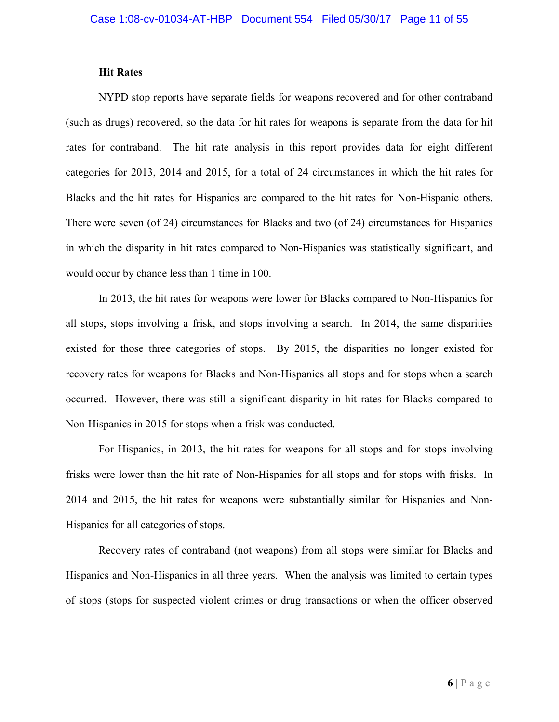#### **Hit Rates**

NYPD stop reports have separate fields for weapons recovered and for other contraband (such as drugs) recovered, so the data for hit rates for weapons is separate from the data for hit rates for contraband. The hit rate analysis in this report provides data for eight different categories for 2013, 2014 and 2015, for a total of 24 circumstances in which the hit rates for Blacks and the hit rates for Hispanics are compared to the hit rates for Non-Hispanic others. There were seven (of 24) circumstances for Blacks and two (of 24) circumstances for Hispanics in which the disparity in hit rates compared to Non-Hispanics was statistically significant, and would occur by chance less than 1 time in 100.

In 2013, the hit rates for weapons were lower for Blacks compared to Non-Hispanics for all stops, stops involving a frisk, and stops involving a search. In 2014, the same disparities existed for those three categories of stops. By 2015, the disparities no longer existed for recovery rates for weapons for Blacks and Non-Hispanics all stops and for stops when a search occurred. However, there was still a significant disparity in hit rates for Blacks compared to Non-Hispanics in 2015 for stops when a frisk was conducted.

For Hispanics, in 2013, the hit rates for weapons for all stops and for stops involving frisks were lower than the hit rate of Non-Hispanics for all stops and for stops with frisks. In 2014 and 2015, the hit rates for weapons were substantially similar for Hispanics and Non-Hispanics for all categories of stops.

Recovery rates of contraband (not weapons) from all stops were similar for Blacks and Hispanics and Non-Hispanics in all three years. When the analysis was limited to certain types of stops (stops for suspected violent crimes or drug transactions or when the officer observed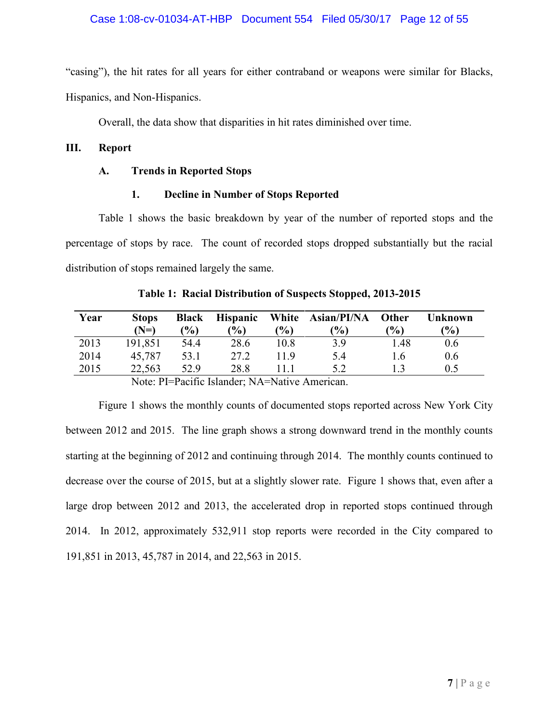#### Case 1:08-cv-01034-AT-HBP Document 554 Filed 05/30/17 Page 12 of 55

"casing"), the hit rates for all years for either contraband or weapons were similar for Blacks,

Hispanics, and Non-Hispanics.

Overall, the data show that disparities in hit rates diminished over time.

# **III. Report**

#### **A. Trends in Reported Stops**

# **1. Decline in Number of Stops Reported**

Table 1 shows the basic breakdown by year of the number of reported stops and the percentage of stops by race. The count of recorded stops dropped substantially but the racial distribution of stops remained largely the same.

| <b>Stops</b> | <b>Black</b> | <b>Hispanic</b> |        |               | Other          | <b>Unknown</b>    |
|--------------|--------------|-----------------|--------|---------------|----------------|-------------------|
| (N=)         | (%)          | $\frac{1}{2}$   | $(\%)$ | $\frac{1}{2}$ | $\frac{10}{6}$ | (%)               |
| 191,851      | 54.4         | 28.6            | 10.8   | 3.9           | 1.48           | 0.6               |
| 45,787       | 53.1         | 27.2            | 119    | 5.4           | 16             | 0.6               |
| 22,563       | 52.9         | 28.8            | 111    | 5.2           |                | 0.5               |
|              |              |                 |        |               |                | White Asian/PI/NA |

**Table 1: Racial Distribution of Suspects Stopped, 2013-2015**

Note: PI=Pacific Islander; NA=Native American.

Figure 1 shows the monthly counts of documented stops reported across New York City between 2012 and 2015. The line graph shows a strong downward trend in the monthly counts starting at the beginning of 2012 and continuing through 2014. The monthly counts continued to decrease over the course of 2015, but at a slightly slower rate. Figure 1 shows that, even after a large drop between 2012 and 2013, the accelerated drop in reported stops continued through 2014. In 2012, approximately 532,911 stop reports were recorded in the City compared to 191,851 in 2013, 45,787 in 2014, and 22,563 in 2015.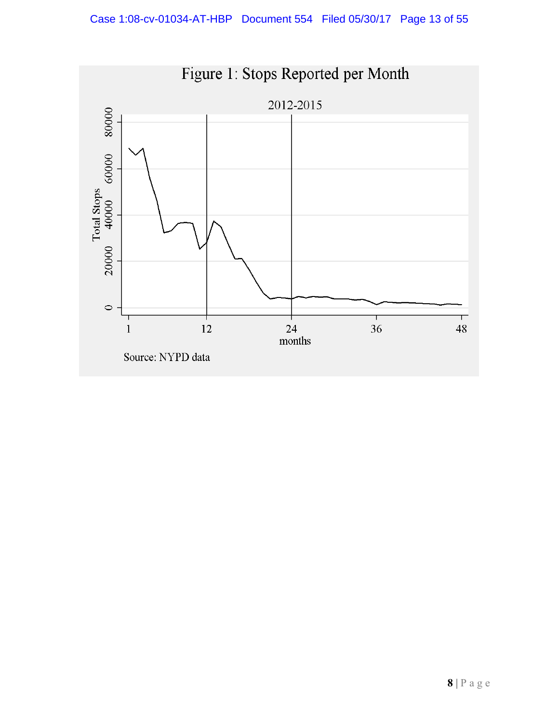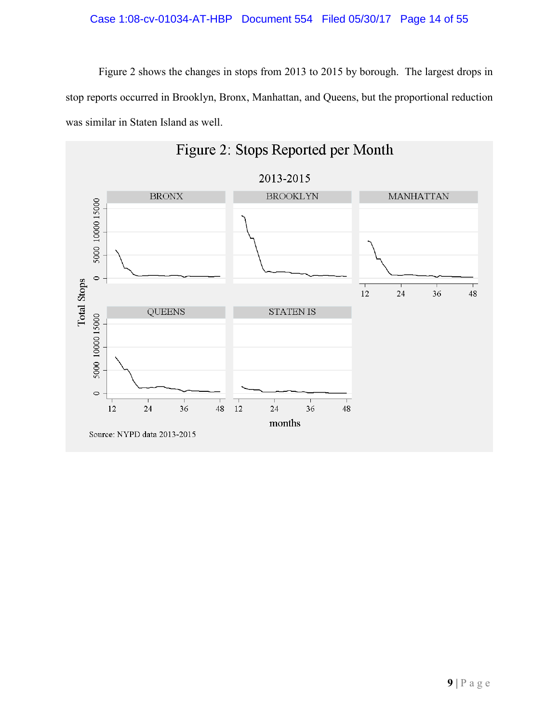# Case 1:08-cv-01034-AT-HBP Document 554 Filed 05/30/17 Page 14 of 55

Figure 2 shows the changes in stops from 2013 to 2015 by borough. The largest drops in stop reports occurred in Brooklyn, Bronx, Manhattan, and Queens, but the proportional reduction was similar in Staten Island as well.

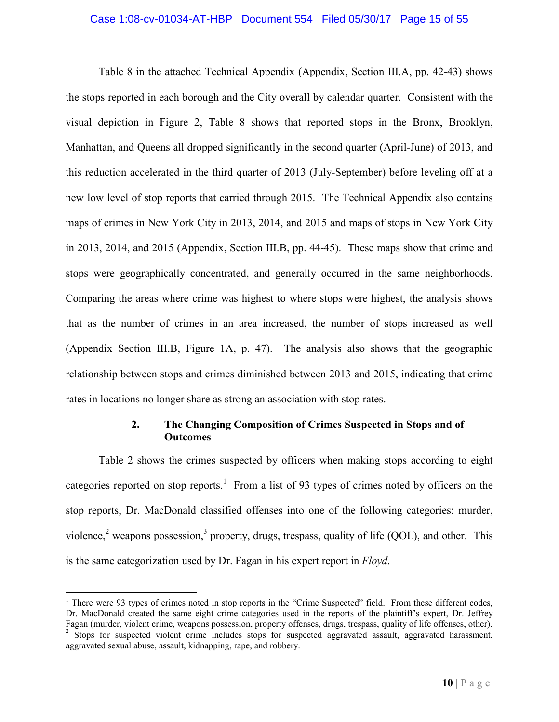#### Case 1:08-cv-01034-AT-HBP Document 554 Filed 05/30/17 Page 15 of 55

Table 8 in the attached Technical Appendix (Appendix, Section III.A, pp. 42-43) shows the stops reported in each borough and the City overall by calendar quarter. Consistent with the visual depiction in Figure 2, Table 8 shows that reported stops in the Bronx, Brooklyn, Manhattan, and Queens all dropped significantly in the second quarter (April-June) of 2013, and this reduction accelerated in the third quarter of 2013 (July-September) before leveling off at a new low level of stop reports that carried through 2015. The Technical Appendix also contains maps of crimes in New York City in 2013, 2014, and 2015 and maps of stops in New York City in 2013, 2014, and 2015 (Appendix, Section III.B, pp. 44-45). These maps show that crime and stops were geographically concentrated, and generally occurred in the same neighborhoods. Comparing the areas where crime was highest to where stops were highest, the analysis shows that as the number of crimes in an area increased, the number of stops increased as well (Appendix Section III.B, Figure 1A, p. 47). The analysis also shows that the geographic relationship between stops and crimes diminished between 2013 and 2015, indicating that crime rates in locations no longer share as strong an association with stop rates.

# **2. The Changing Composition of Crimes Suspected in Stops and of Outcomes**

Table 2 shows the crimes suspected by officers when making stops according to eight categories reported on stop reports.<sup>1</sup> From a list of 93 types of crimes noted by officers on the stop reports, Dr. MacDonald classified offenses into one of the following categories: murder, violence,<sup>2</sup> weapons possession,<sup>3</sup> property, drugs, trespass, quality of life (QOL), and other. This is the same categorization used by Dr. Fagan in his expert report in *Floyd*.

<sup>&</sup>lt;sup>1</sup> There were 93 types of crimes noted in stop reports in the "Crime Suspected" field. From these different codes, Dr. MacDonald created the same eight crime categories used in the reports of the plaintiff's expert, Dr. Jeffrey Fagan (murder, violent crime, weapons possession, property offenses, drugs, trespass, quality of life offenses, other).

<sup>&</sup>lt;sup>2</sup> Stops for suspected violent crime includes stops for suspected aggravated assault, aggravated harassment, aggravated sexual abuse, assault, kidnapping, rape, and robbery.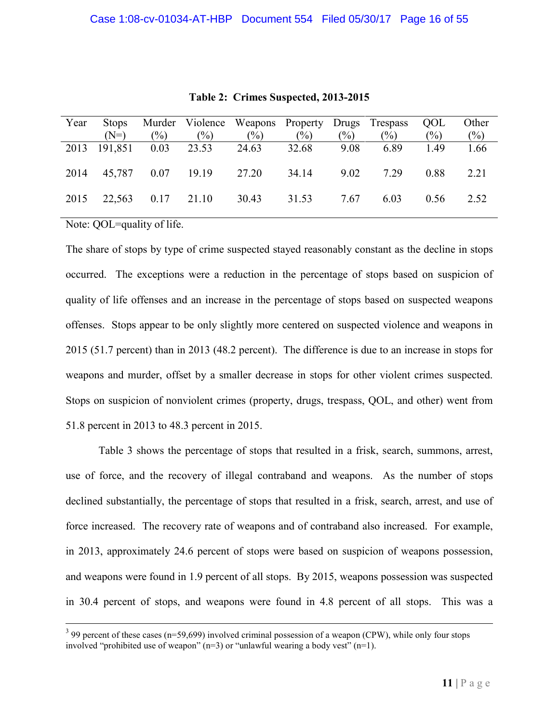| Year | <b>Stops</b> |                   |                               | Murder Violence Weapons Property Drugs Trespass |        |        |        | QOL           | Other  |
|------|--------------|-------------------|-------------------------------|-------------------------------------------------|--------|--------|--------|---------------|--------|
|      | $(N=)$       | $(\%)$            | $(\%)$                        | $(\%)$                                          | $(\%)$ | $(\%)$ | $(\%)$ | $\frac{1}{2}$ | $(\%)$ |
|      |              |                   | 2013 191,851 0.03 23.53 24.63 |                                                 | 32.68  | 9.08   | 6.89   | 1.49          | 1.66   |
| 2014 |              |                   |                               | 45,787 0.07 19.19 27.20 34.14                   |        | 9.02   | 7.29   | 0.88          | 2.21   |
| 2015 |              | 22,563 0.17 21.10 |                               | 30.43                                           | 31.53  | 7.67   | 6.03   | 0.56          | 2.52   |

**Table 2: Crimes Suspected, 2013-2015**

Note: QOL=quality of life.

The share of stops by type of crime suspected stayed reasonably constant as the decline in stops occurred. The exceptions were a reduction in the percentage of stops based on suspicion of quality of life offenses and an increase in the percentage of stops based on suspected weapons offenses. Stops appear to be only slightly more centered on suspected violence and weapons in 2015 (51.7 percent) than in 2013 (48.2 percent). The difference is due to an increase in stops for weapons and murder, offset by a smaller decrease in stops for other violent crimes suspected. Stops on suspicion of nonviolent crimes (property, drugs, trespass, QOL, and other) went from 51.8 percent in 2013 to 48.3 percent in 2015.

Table 3 shows the percentage of stops that resulted in a frisk, search, summons, arrest, use of force, and the recovery of illegal contraband and weapons. As the number of stops declined substantially, the percentage of stops that resulted in a frisk, search, arrest, and use of force increased. The recovery rate of weapons and of contraband also increased. For example, in 2013, approximately 24.6 percent of stops were based on suspicion of weapons possession, and weapons were found in 1.9 percent of all stops. By 2015, weapons possession was suspected in 30.4 percent of stops, and weapons were found in 4.8 percent of all stops. This was a

 $3$  99 percent of these cases (n=59,699) involved criminal possession of a weapon (CPW), while only four stops involved "prohibited use of weapon"  $(n=3)$  or "unlawful wearing a body vest"  $(n=1)$ .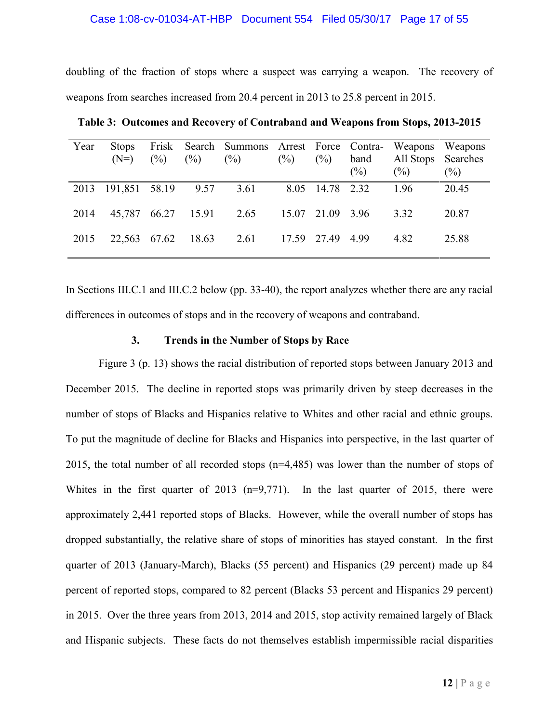#### Case 1:08-cv-01034-AT-HBP Document 554 Filed 05/30/17 Page 17 of 55

doubling of the fraction of stops where a suspect was carrying a weapon. The recovery of weapons from searches increased from 20.4 percent in 2013 to 25.8 percent in 2015.

| Year | <b>Stops</b><br>$(N=)$  | Frisk<br>$(\%)$ | $(\%)$ | Search Summons Arrest Force Contra-<br>$(\%)$ | $(\%)$ | $(\%)$           | band<br>$(\%)$ | All Stops Searches<br>(%) | Weapons Weapons<br>$\binom{0}{0}$ |
|------|-------------------------|-----------------|--------|-----------------------------------------------|--------|------------------|----------------|---------------------------|-----------------------------------|
| 2013 | 191,851 58.19 9.57 3.61 |                 |        |                                               |        | 8.05 14.78 2.32  |                | 1.96                      | 20.45                             |
| 2014 |                         |                 |        | 45,787 66.27 15.91 2.65                       |        | 15.07 21.09 3.96 |                | 3.32                      | 20.87                             |
| 2015 | 22,563 67.62            |                 | 18.63  | 2.61                                          |        | 17.59 27.49 4.99 |                | 4.82                      | 25.88                             |

**Table 3: Outcomes and Recovery of Contraband and Weapons from Stops, 2013-2015**

In Sections III.C.1 and III.C.2 below (pp. 33-40), the report analyzes whether there are any racial differences in outcomes of stops and in the recovery of weapons and contraband.

#### **3. Trends in the Number of Stops by Race**

Figure 3 (p. 13) shows the racial distribution of reported stops between January 2013 and December 2015. The decline in reported stops was primarily driven by steep decreases in the number of stops of Blacks and Hispanics relative to Whites and other racial and ethnic groups. To put the magnitude of decline for Blacks and Hispanics into perspective, in the last quarter of 2015, the total number of all recorded stops (n=4,485) was lower than the number of stops of Whites in the first quarter of 2013 (n=9,771). In the last quarter of 2015, there were approximately 2,441 reported stops of Blacks. However, while the overall number of stops has dropped substantially, the relative share of stops of minorities has stayed constant. In the first quarter of 2013 (January-March), Blacks (55 percent) and Hispanics (29 percent) made up 84 percent of reported stops, compared to 82 percent (Blacks 53 percent and Hispanics 29 percent) in 2015. Over the three years from 2013, 2014 and 2015, stop activity remained largely of Black and Hispanic subjects. These facts do not themselves establish impermissible racial disparities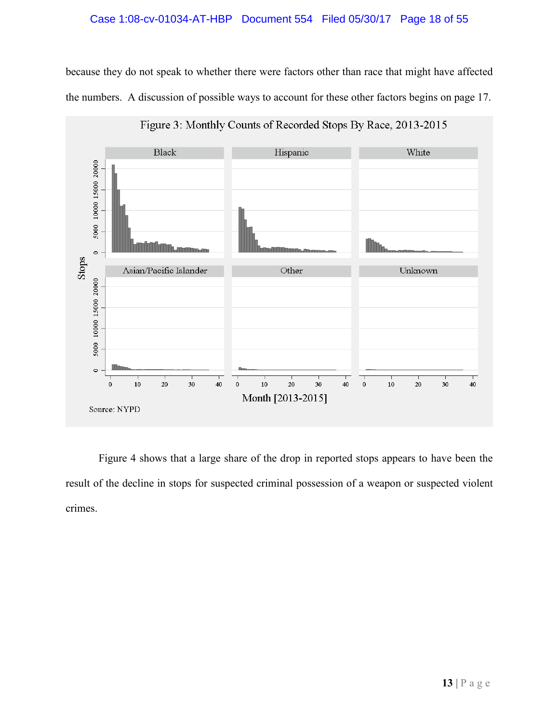# Case 1:08-cv-01034-AT-HBP Document 554 Filed 05/30/17 Page 18 of 55

because they do not speak to whether there were factors other than race that might have affected the numbers. A discussion of possible ways to account for these other factors begins on page 17.



Figure 3: Monthly Counts of Recorded Stops By Race, 2013-2015

Figure 4 shows that a large share of the drop in reported stops appears to have been the result of the decline in stops for suspected criminal possession of a weapon or suspected violent crimes.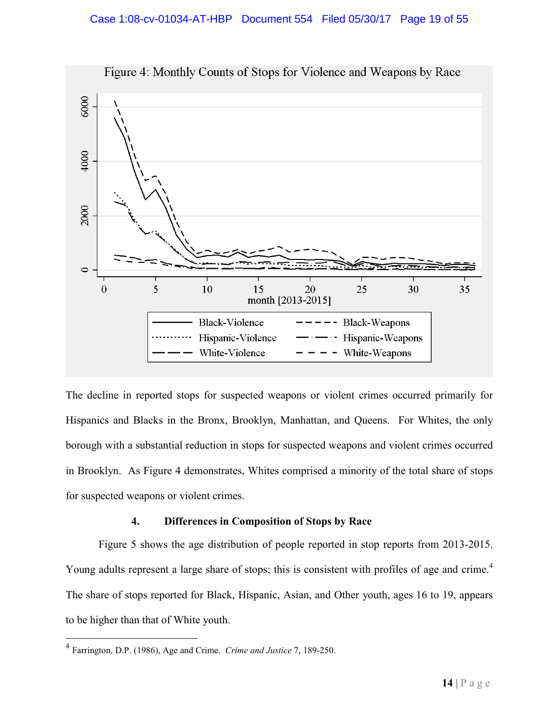

Figure 4: Monthly Counts of Stops for Violence and Weapons by Race

The decline in reported stops for suspected weapons or violent crimes occurred primarily for Hispanics and Blacks in the Bronx, Brooklyn, Manhattan, and Queens. For Whites, the only borough with a substantial reduction in stops for suspected weapons and violent crimes occurred in Brooklyn. As Figure 4 demonstrates, Whites comprised a minority of the total share of stops for suspected weapons or violent crimes.

# **4. Differences in Composition of Stops by Race**

Figure 5 shows the age distribution of people reported in stop reports from 2013-2015. Young adults represent a large share of stops; this is consistent with profiles of age and crime.<sup>4</sup> The share of stops reported for Black, Hispanic, Asian, and Other youth, ages 16 to 19, appears to be higher than that of White youth.

<sup>4</sup> Farrington, D.P. (1986), Age and Crime. *Crime and Justice* 7, 189-250.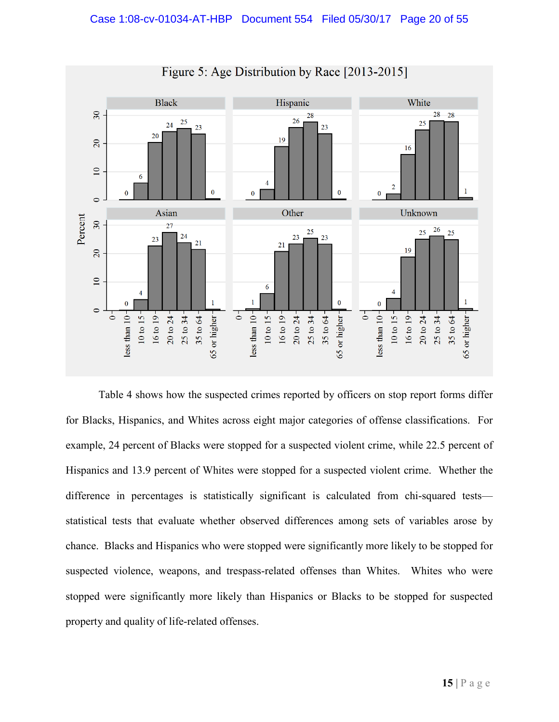

Figure 5: Age Distribution by Race [2013-2015]

Table 4 shows how the suspected crimes reported by officers on stop report forms differ for Blacks, Hispanics, and Whites across eight major categories of offense classifications. For example, 24 percent of Blacks were stopped for a suspected violent crime, while 22.5 percent of Hispanics and 13.9 percent of Whites were stopped for a suspected violent crime. Whether the difference in percentages is statistically significant is calculated from chi-squared tests statistical tests that evaluate whether observed differences among sets of variables arose by chance. Blacks and Hispanics who were stopped were significantly more likely to be stopped for suspected violence, weapons, and trespass-related offenses than Whites. Whites who were stopped were significantly more likely than Hispanics or Blacks to be stopped for suspected property and quality of life-related offenses.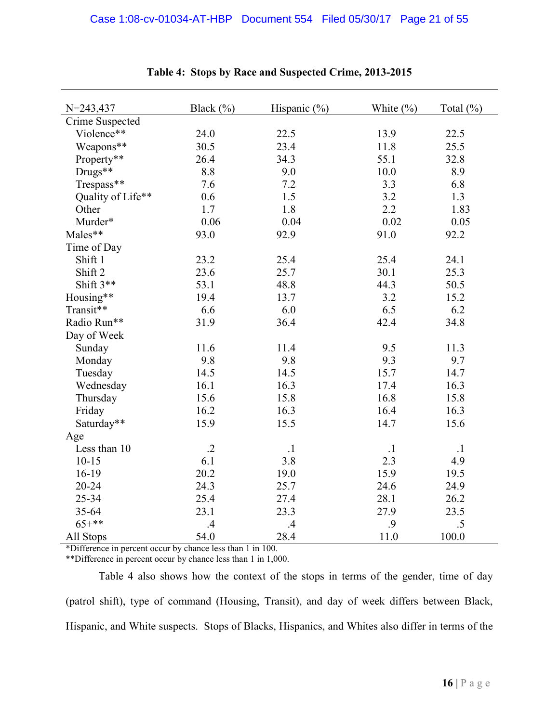| $N = 243,437$     | Black $(\% )$ | Hispanic $(\% )$ | White $(\% )$ | Total (%) |
|-------------------|---------------|------------------|---------------|-----------|
| Crime Suspected   |               |                  |               |           |
| Violence**        | 24.0          | 22.5             | 13.9          | 22.5      |
| Weapons**         | 30.5          | 23.4             | 11.8          | 25.5      |
| Property**        | 26.4          | 34.3             | 55.1          | 32.8      |
| Drugs**           | 8.8           | 9.0              | 10.0          | 8.9       |
| Trespass**        | 7.6           | 7.2              | 3.3           | 6.8       |
| Quality of Life** | 0.6           | 1.5              | 3.2           | 1.3       |
| Other             | 1.7           | 1.8              | 2.2           | 1.83      |
| Murder*           | 0.06          | 0.04             | 0.02          | 0.05      |
| Males**           | 93.0          | 92.9             | 91.0          | 92.2      |
| Time of Day       |               |                  |               |           |
| Shift 1           | 23.2          | 25.4             | 25.4          | 24.1      |
| Shift 2           | 23.6          | 25.7             | 30.1          | 25.3      |
| Shift 3**         | 53.1          | 48.8             | 44.3          | 50.5      |
| Housing**         | 19.4          | 13.7             | 3.2           | 15.2      |
| Transit**         | 6.6           | 6.0              | 6.5           | 6.2       |
| Radio Run**       | 31.9          | 36.4             | 42.4          | 34.8      |
| Day of Week       |               |                  |               |           |
| Sunday            | 11.6          | 11.4             | 9.5           | 11.3      |
| Monday            | 9.8           | 9.8              | 9.3           | 9.7       |
| Tuesday           | 14.5          | 14.5             | 15.7          | 14.7      |
| Wednesday         | 16.1          | 16.3             | 17.4          | 16.3      |
| Thursday          | 15.6          | 15.8             | 16.8          | 15.8      |
| Friday            | 16.2          | 16.3             | 16.4          | 16.3      |
| Saturday**        | 15.9          | 15.5             | 14.7          | 15.6      |
| Age               |               |                  |               |           |
| Less than 10      | $\cdot$ .2    | $\cdot$ 1        | $\cdot$ 1     | $\cdot$ 1 |
| $10 - 15$         | 6.1           | 3.8              | 2.3           | 4.9       |
| $16-19$           | 20.2          | 19.0             | 15.9          | 19.5      |
| 20-24             | 24.3          | 25.7             | 24.6          | 24.9      |
| 25-34             | 25.4          | 27.4             | 28.1          | 26.2      |
| 35-64             | 23.1          | 23.3             | 27.9          | 23.5      |
| $65+***$          | .4            | .4               | .9            | .5        |
| All Stops         | 54.0          | 28.4             | 11.0          | 100.0     |

# **Table 4: Stops by Race and Suspected Crime, 2013-2015**

\*Difference in percent occur by chance less than 1 in 100.

\*\*Difference in percent occur by chance less than 1 in 1,000.

Table 4 also shows how the context of the stops in terms of the gender, time of day (patrol shift), type of command (Housing, Transit), and day of week differs between Black, Hispanic, and White suspects. Stops of Blacks, Hispanics, and Whites also differ in terms of the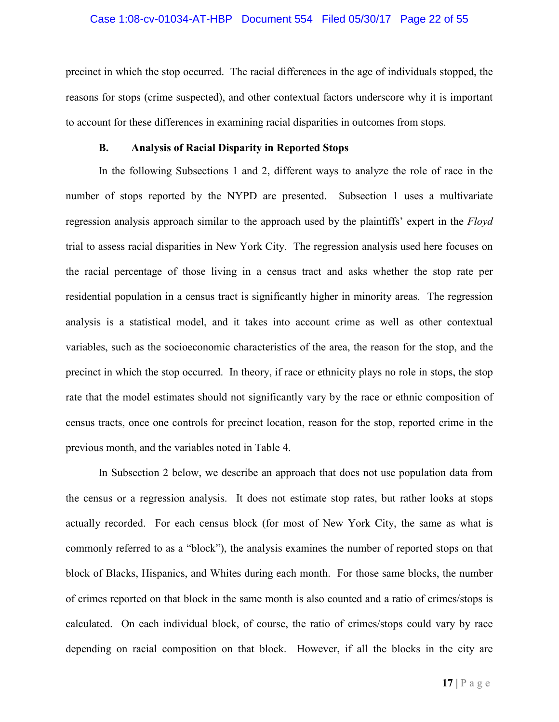#### Case 1:08-cv-01034-AT-HBP Document 554 Filed 05/30/17 Page 22 of 55

precinct in which the stop occurred. The racial differences in the age of individuals stopped, the reasons for stops (crime suspected), and other contextual factors underscore why it is important to account for these differences in examining racial disparities in outcomes from stops.

#### **B. Analysis of Racial Disparity in Reported Stops**

In the following Subsections 1 and 2, different ways to analyze the role of race in the number of stops reported by the NYPD are presented. Subsection 1 uses a multivariate regression analysis approach similar to the approach used by the plaintiffs' expert in the *Floyd* trial to assess racial disparities in New York City. The regression analysis used here focuses on the racial percentage of those living in a census tract and asks whether the stop rate per residential population in a census tract is significantly higher in minority areas. The regression analysis is a statistical model, and it takes into account crime as well as other contextual variables, such as the socioeconomic characteristics of the area, the reason for the stop, and the precinct in which the stop occurred. In theory, if race or ethnicity plays no role in stops, the stop rate that the model estimates should not significantly vary by the race or ethnic composition of census tracts, once one controls for precinct location, reason for the stop, reported crime in the previous month, and the variables noted in Table 4.

In Subsection 2 below, we describe an approach that does not use population data from the census or a regression analysis. It does not estimate stop rates, but rather looks at stops actually recorded. For each census block (for most of New York City, the same as what is commonly referred to as a "block"), the analysis examines the number of reported stops on that block of Blacks, Hispanics, and Whites during each month. For those same blocks, the number of crimes reported on that block in the same month is also counted and a ratio of crimes/stops is calculated. On each individual block, of course, the ratio of crimes/stops could vary by race depending on racial composition on that block. However, if all the blocks in the city are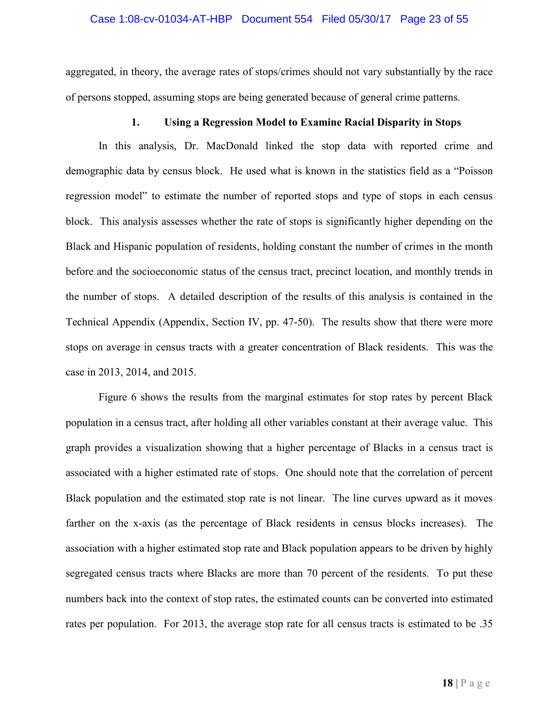#### Case 1:08-cv-01034-AT-HBP Document 554 Filed 05/30/17 Page 23 of 55

aggregated, in theory, the average rates of stops/crimes should not vary substantially by the race of persons stopped, assuming stops are being generated because of general crime patterns.

#### **1. Using a Regression Model to Examine Racial Disparity in Stops**

In this analysis, Dr. MacDonald linked the stop data with reported crime and demographic data by census block. He used what is known in the statistics field as a "Poisson regression model" to estimate the number of reported stops and type of stops in each census block. This analysis assesses whether the rate of stops is significantly higher depending on the Black and Hispanic population of residents, holding constant the number of crimes in the month before and the socioeconomic status of the census tract, precinct location, and monthly trends in the number of stops. A detailed description of the results of this analysis is contained in the Technical Appendix (Appendix, Section IV, pp. 47-50). The results show that there were more stops on average in census tracts with a greater concentration of Black residents. This was the case in 2013, 2014, and 2015.

Figure 6 shows the results from the marginal estimates for stop rates by percent Black population in a census tract, after holding all other variables constant at their average value. This graph provides a visualization showing that a higher percentage of Blacks in a census tract is associated with a higher estimated rate of stops. One should note that the correlation of percent Black population and the estimated stop rate is not linear. The line curves upward as it moves farther on the x-axis (as the percentage of Black residents in census blocks increases). The association with a higher estimated stop rate and Black population appears to be driven by highly segregated census tracts where Blacks are more than 70 percent of the residents. To put these numbers back into the context of stop rates, the estimated counts can be converted into estimated rates per population. For 2013, the average stop rate for all census tracts is estimated to be .35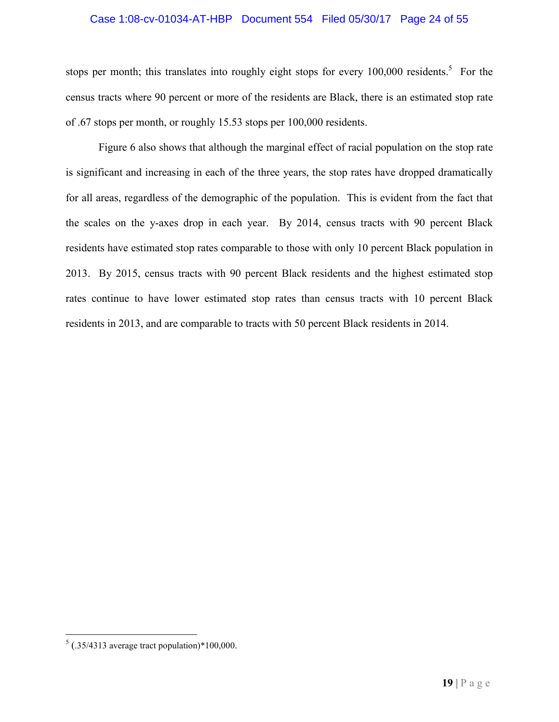#### Case 1:08-cv-01034-AT-HBP Document 554 Filed 05/30/17 Page 24 of 55

stops per month; this translates into roughly eight stops for every  $100,000$  residents.<sup>5</sup> For the census tracts where 90 percent or more of the residents are Black, there is an estimated stop rate of .67 stops per month, or roughly 15.53 stops per 100,000 residents.

Figure 6 also shows that although the marginal effect of racial population on the stop rate is significant and increasing in each of the three years, the stop rates have dropped dramatically for all areas, regardless of the demographic of the population. This is evident from the fact that the scales on the y-axes drop in each year. By 2014, census tracts with 90 percent Black residents have estimated stop rates comparable to those with only 10 percent Black population in 2013. By 2015, census tracts with 90 percent Black residents and the highest estimated stop rates continue to have lower estimated stop rates than census tracts with 10 percent Black residents in 2013, and are comparable to tracts with 50 percent Black residents in 2014.

 $5$  (.35/4313 average tract population)\*100,000.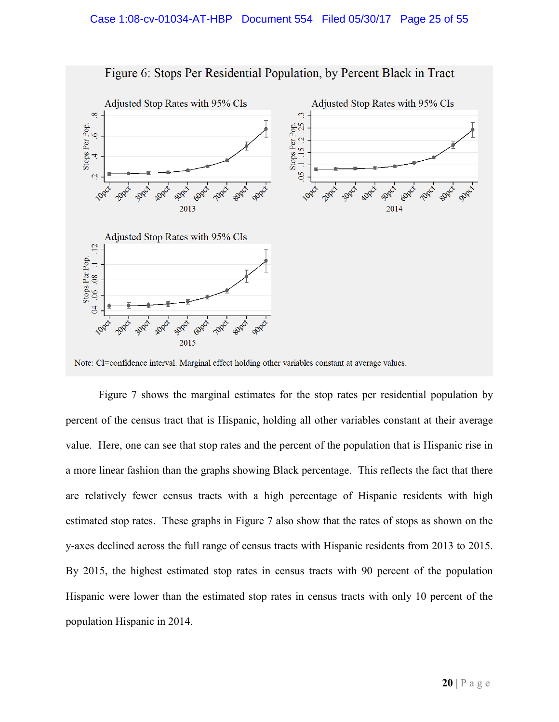

Figure 6: Stops Per Residential Population, by Percent Black in Tract

Note: CI=confidence interval. Marginal effect holding other variables constant at average values.

Figure 7 shows the marginal estimates for the stop rates per residential population by percent of the census tract that is Hispanic, holding all other variables constant at their average value. Here, one can see that stop rates and the percent of the population that is Hispanic rise in a more linear fashion than the graphs showing Black percentage. This reflects the fact that there are relatively fewer census tracts with a high percentage of Hispanic residents with high estimated stop rates. These graphs in Figure 7 also show that the rates of stops as shown on the y-axes declined across the full range of census tracts with Hispanic residents from 2013 to 2015. By 2015, the highest estimated stop rates in census tracts with 90 percent of the population Hispanic were lower than the estimated stop rates in census tracts with only 10 percent of the population Hispanic in 2014.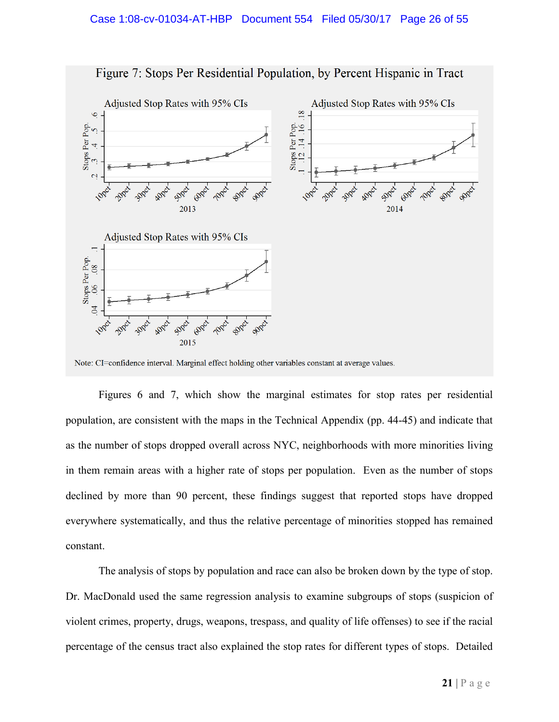

Figure 7: Stops Per Residential Population, by Percent Hispanic in Tract

Note: CI=confidence interval. Marginal effect holding other variables constant at average values.

Figures 6 and 7, which show the marginal estimates for stop rates per residential population, are consistent with the maps in the Technical Appendix (pp. 44-45) and indicate that as the number of stops dropped overall across NYC, neighborhoods with more minorities living in them remain areas with a higher rate of stops per population. Even as the number of stops declined by more than 90 percent, these findings suggest that reported stops have dropped everywhere systematically, and thus the relative percentage of minorities stopped has remained constant.

The analysis of stops by population and race can also be broken down by the type of stop. Dr. MacDonald used the same regression analysis to examine subgroups of stops (suspicion of violent crimes, property, drugs, weapons, trespass, and quality of life offenses) to see if the racial percentage of the census tract also explained the stop rates for different types of stops. Detailed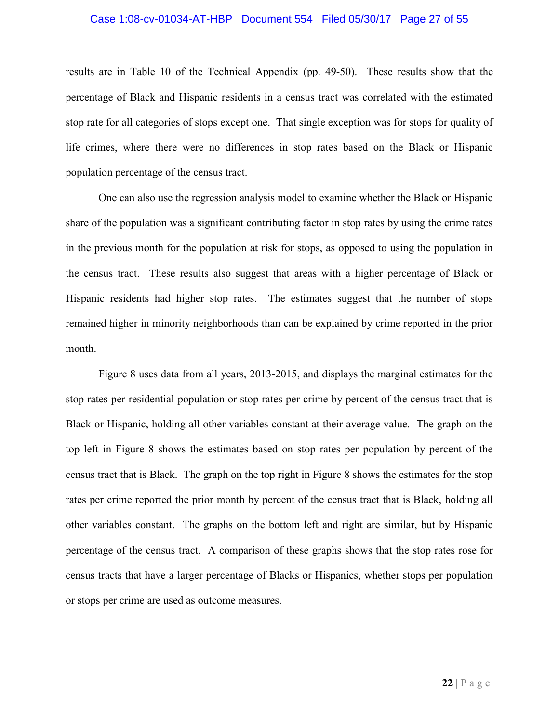#### Case 1:08-cv-01034-AT-HBP Document 554 Filed 05/30/17 Page 27 of 55

results are in Table 10 of the Technical Appendix (pp. 49-50). These results show that the percentage of Black and Hispanic residents in a census tract was correlated with the estimated stop rate for all categories of stops except one. That single exception was for stops for quality of life crimes, where there were no differences in stop rates based on the Black or Hispanic population percentage of the census tract.

One can also use the regression analysis model to examine whether the Black or Hispanic share of the population was a significant contributing factor in stop rates by using the crime rates in the previous month for the population at risk for stops, as opposed to using the population in the census tract. These results also suggest that areas with a higher percentage of Black or Hispanic residents had higher stop rates. The estimates suggest that the number of stops remained higher in minority neighborhoods than can be explained by crime reported in the prior month.

Figure 8 uses data from all years, 2013-2015, and displays the marginal estimates for the stop rates per residential population or stop rates per crime by percent of the census tract that is Black or Hispanic, holding all other variables constant at their average value. The graph on the top left in Figure 8 shows the estimates based on stop rates per population by percent of the census tract that is Black. The graph on the top right in Figure 8 shows the estimates for the stop rates per crime reported the prior month by percent of the census tract that is Black, holding all other variables constant. The graphs on the bottom left and right are similar, but by Hispanic percentage of the census tract. A comparison of these graphs shows that the stop rates rose for census tracts that have a larger percentage of Blacks or Hispanics, whether stops per population or stops per crime are used as outcome measures.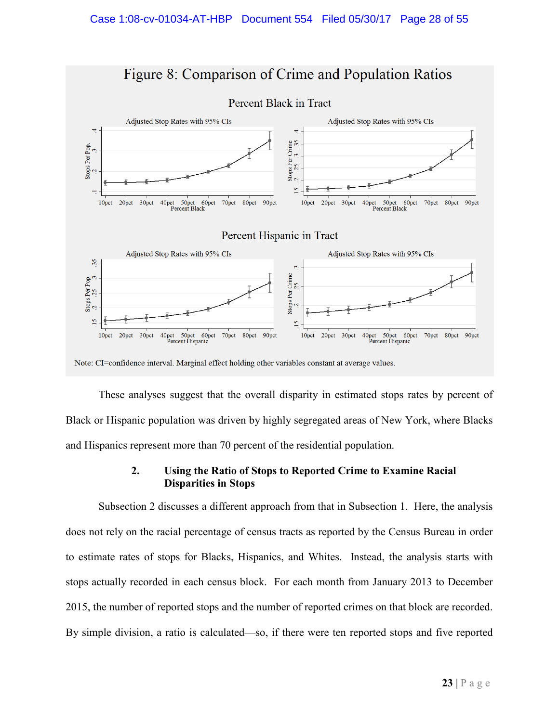

These analyses suggest that the overall disparity in estimated stops rates by percent of Black or Hispanic population was driven by highly segregated areas of New York, where Blacks and Hispanics represent more than 70 percent of the residential population.

# **2. Using the Ratio of Stops to Reported Crime to Examine Racial Disparities in Stops**

Subsection 2 discusses a different approach from that in Subsection 1. Here, the analysis does not rely on the racial percentage of census tracts as reported by the Census Bureau in order to estimate rates of stops for Blacks, Hispanics, and Whites. Instead, the analysis starts with stops actually recorded in each census block. For each month from January 2013 to December 2015, the number of reported stops and the number of reported crimes on that block are recorded. By simple division, a ratio is calculated—so, if there were ten reported stops and five reported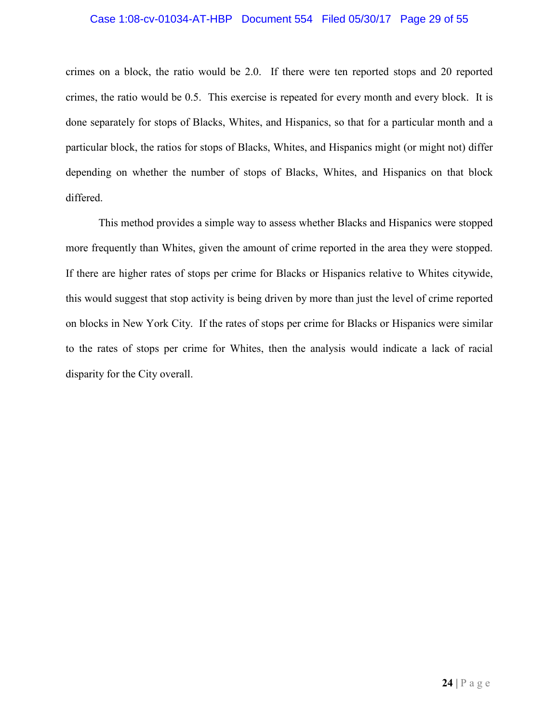#### Case 1:08-cv-01034-AT-HBP Document 554 Filed 05/30/17 Page 29 of 55

crimes on a block, the ratio would be 2.0. If there were ten reported stops and 20 reported crimes, the ratio would be 0.5. This exercise is repeated for every month and every block. It is done separately for stops of Blacks, Whites, and Hispanics, so that for a particular month and a particular block, the ratios for stops of Blacks, Whites, and Hispanics might (or might not) differ depending on whether the number of stops of Blacks, Whites, and Hispanics on that block differed.

This method provides a simple way to assess whether Blacks and Hispanics were stopped more frequently than Whites, given the amount of crime reported in the area they were stopped. If there are higher rates of stops per crime for Blacks or Hispanics relative to Whites citywide, this would suggest that stop activity is being driven by more than just the level of crime reported on blocks in New York City. If the rates of stops per crime for Blacks or Hispanics were similar to the rates of stops per crime for Whites, then the analysis would indicate a lack of racial disparity for the City overall.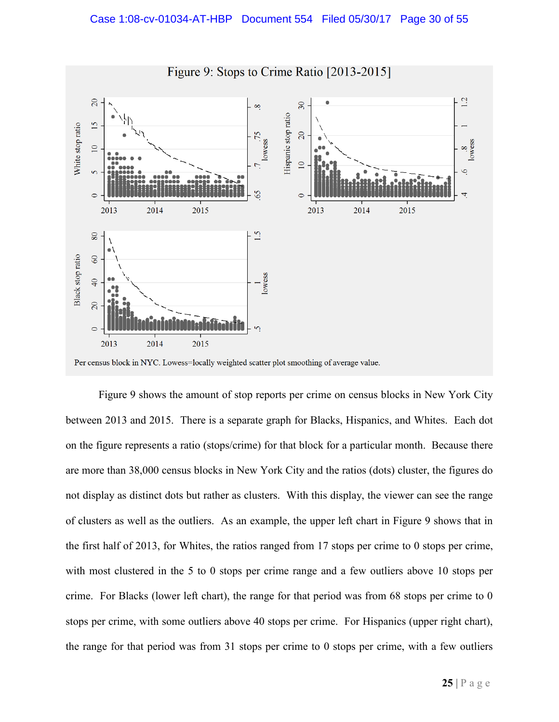

Per census block in NYC. Lowess=locally weighted scatter plot smoothing of average value.

Figure 9 shows the amount of stop reports per crime on census blocks in New York City between 2013 and 2015. There is a separate graph for Blacks, Hispanics, and Whites. Each dot on the figure represents a ratio (stops/crime) for that block for a particular month. Because there are more than 38,000 census blocks in New York City and the ratios (dots) cluster, the figures do not display as distinct dots but rather as clusters. With this display, the viewer can see the range of clusters as well as the outliers. As an example, the upper left chart in Figure 9 shows that in the first half of 2013, for Whites, the ratios ranged from 17 stops per crime to 0 stops per crime, with most clustered in the 5 to 0 stops per crime range and a few outliers above 10 stops per crime. For Blacks (lower left chart), the range for that period was from 68 stops per crime to 0 stops per crime, with some outliers above 40 stops per crime. For Hispanics (upper right chart), the range for that period was from 31 stops per crime to 0 stops per crime, with a few outliers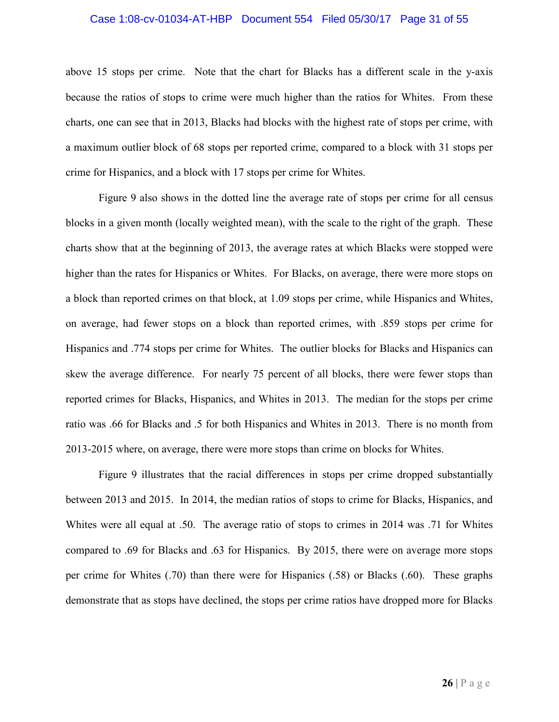#### Case 1:08-cv-01034-AT-HBP Document 554 Filed 05/30/17 Page 31 of 55

above 15 stops per crime. Note that the chart for Blacks has a different scale in the y-axis because the ratios of stops to crime were much higher than the ratios for Whites. From these charts, one can see that in 2013, Blacks had blocks with the highest rate of stops per crime, with a maximum outlier block of 68 stops per reported crime, compared to a block with 31 stops per crime for Hispanics, and a block with 17 stops per crime for Whites.

Figure 9 also shows in the dotted line the average rate of stops per crime for all census blocks in a given month (locally weighted mean), with the scale to the right of the graph. These charts show that at the beginning of 2013, the average rates at which Blacks were stopped were higher than the rates for Hispanics or Whites. For Blacks, on average, there were more stops on a block than reported crimes on that block, at 1.09 stops per crime, while Hispanics and Whites, on average, had fewer stops on a block than reported crimes, with .859 stops per crime for Hispanics and .774 stops per crime for Whites. The outlier blocks for Blacks and Hispanics can skew the average difference. For nearly 75 percent of all blocks, there were fewer stops than reported crimes for Blacks, Hispanics, and Whites in 2013. The median for the stops per crime ratio was .66 for Blacks and .5 for both Hispanics and Whites in 2013. There is no month from 2013-2015 where, on average, there were more stops than crime on blocks for Whites.

Figure 9 illustrates that the racial differences in stops per crime dropped substantially between 2013 and 2015. In 2014, the median ratios of stops to crime for Blacks, Hispanics, and Whites were all equal at .50. The average ratio of stops to crimes in 2014 was .71 for Whites compared to .69 for Blacks and .63 for Hispanics. By 2015, there were on average more stops per crime for Whites (.70) than there were for Hispanics (.58) or Blacks (.60). These graphs demonstrate that as stops have declined, the stops per crime ratios have dropped more for Blacks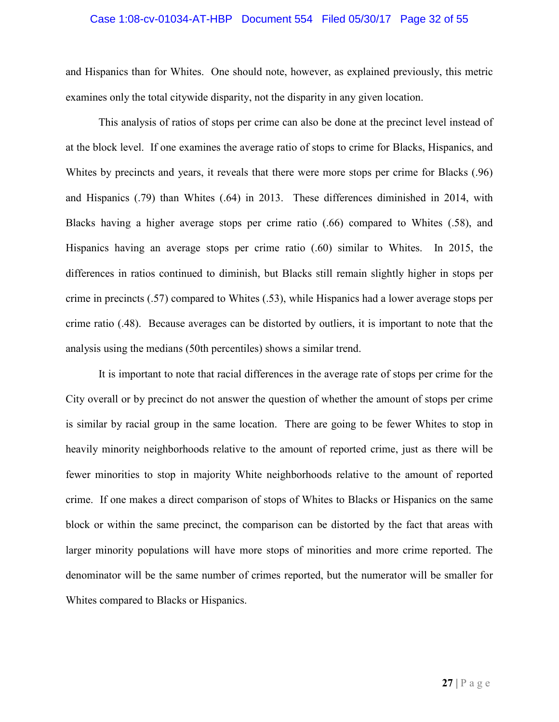# Case 1:08-cv-01034-AT-HBP Document 554 Filed 05/30/17 Page 32 of 55

and Hispanics than for Whites. One should note, however, as explained previously, this metric examines only the total citywide disparity, not the disparity in any given location.

This analysis of ratios of stops per crime can also be done at the precinct level instead of at the block level. If one examines the average ratio of stops to crime for Blacks, Hispanics, and Whites by precincts and years, it reveals that there were more stops per crime for Blacks (.96) and Hispanics (.79) than Whites (.64) in 2013. These differences diminished in 2014, with Blacks having a higher average stops per crime ratio (.66) compared to Whites (.58), and Hispanics having an average stops per crime ratio (.60) similar to Whites. In 2015, the differences in ratios continued to diminish, but Blacks still remain slightly higher in stops per crime in precincts (.57) compared to Whites (.53), while Hispanics had a lower average stops per crime ratio (.48). Because averages can be distorted by outliers, it is important to note that the analysis using the medians (50th percentiles) shows a similar trend.

It is important to note that racial differences in the average rate of stops per crime for the City overall or by precinct do not answer the question of whether the amount of stops per crime is similar by racial group in the same location. There are going to be fewer Whites to stop in heavily minority neighborhoods relative to the amount of reported crime, just as there will be fewer minorities to stop in majority White neighborhoods relative to the amount of reported crime. If one makes a direct comparison of stops of Whites to Blacks or Hispanics on the same block or within the same precinct, the comparison can be distorted by the fact that areas with larger minority populations will have more stops of minorities and more crime reported. The denominator will be the same number of crimes reported, but the numerator will be smaller for Whites compared to Blacks or Hispanics.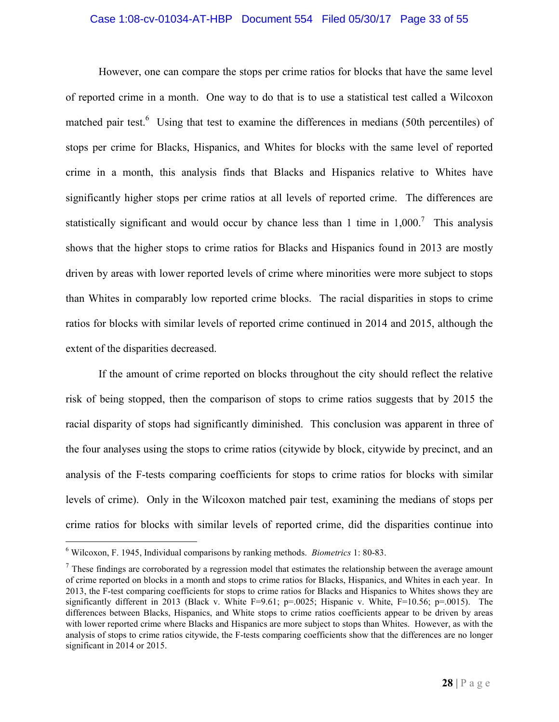#### Case 1:08-cv-01034-AT-HBP Document 554 Filed 05/30/17 Page 33 of 55

However, one can compare the stops per crime ratios for blocks that have the same level of reported crime in a month. One way to do that is to use a statistical test called a Wilcoxon matched pair test.<sup>6</sup> Using that test to examine the differences in medians (50th percentiles) of stops per crime for Blacks, Hispanics, and Whites for blocks with the same level of reported crime in a month, this analysis finds that Blacks and Hispanics relative to Whites have significantly higher stops per crime ratios at all levels of reported crime. The differences are statistically significant and would occur by chance less than 1 time in  $1,000$ .<sup>7</sup> This analysis shows that the higher stops to crime ratios for Blacks and Hispanics found in 2013 are mostly driven by areas with lower reported levels of crime where minorities were more subject to stops than Whites in comparably low reported crime blocks. The racial disparities in stops to crime ratios for blocks with similar levels of reported crime continued in 2014 and 2015, although the extent of the disparities decreased.

If the amount of crime reported on blocks throughout the city should reflect the relative risk of being stopped, then the comparison of stops to crime ratios suggests that by 2015 the racial disparity of stops had significantly diminished. This conclusion was apparent in three of the four analyses using the stops to crime ratios (citywide by block, citywide by precinct, and an analysis of the F-tests comparing coefficients for stops to crime ratios for blocks with similar levels of crime). Only in the Wilcoxon matched pair test, examining the medians of stops per crime ratios for blocks with similar levels of reported crime, did the disparities continue into

<sup>6</sup> Wilcoxon, F. 1945, Individual comparisons by ranking methods. *Biometrics* 1: 80-83.

 $<sup>7</sup>$  These findings are corroborated by a regression model that estimates the relationship between the average amount</sup> of crime reported on blocks in a month and stops to crime ratios for Blacks, Hispanics, and Whites in each year. In 2013, the F-test comparing coefficients for stops to crime ratios for Blacks and Hispanics to Whites shows they are significantly different in 2013 (Black v. White F=9.61; p=.0025; Hispanic v. White, F=10.56; p=.0015). The differences between Blacks, Hispanics, and White stops to crime ratios coefficients appear to be driven by areas with lower reported crime where Blacks and Hispanics are more subject to stops than Whites. However, as with the analysis of stops to crime ratios citywide, the F-tests comparing coefficients show that the differences are no longer significant in 2014 or 2015.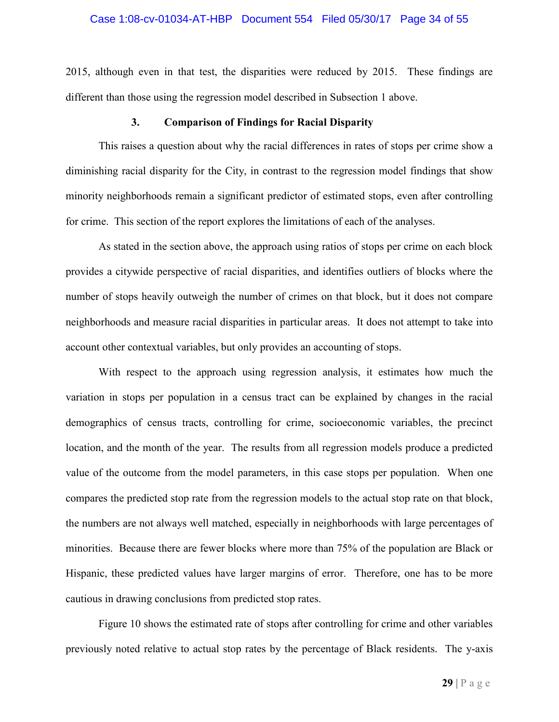#### Case 1:08-cv-01034-AT-HBP Document 554 Filed 05/30/17 Page 34 of 55

2015, although even in that test, the disparities were reduced by 2015. These findings are different than those using the regression model described in Subsection 1 above.

#### **3. Comparison of Findings for Racial Disparity**

This raises a question about why the racial differences in rates of stops per crime show a diminishing racial disparity for the City, in contrast to the regression model findings that show minority neighborhoods remain a significant predictor of estimated stops, even after controlling for crime. This section of the report explores the limitations of each of the analyses.

As stated in the section above, the approach using ratios of stops per crime on each block provides a citywide perspective of racial disparities, and identifies outliers of blocks where the number of stops heavily outweigh the number of crimes on that block, but it does not compare neighborhoods and measure racial disparities in particular areas. It does not attempt to take into account other contextual variables, but only provides an accounting of stops.

With respect to the approach using regression analysis, it estimates how much the variation in stops per population in a census tract can be explained by changes in the racial demographics of census tracts, controlling for crime, socioeconomic variables, the precinct location, and the month of the year. The results from all regression models produce a predicted value of the outcome from the model parameters, in this case stops per population. When one compares the predicted stop rate from the regression models to the actual stop rate on that block, the numbers are not always well matched, especially in neighborhoods with large percentages of minorities. Because there are fewer blocks where more than 75% of the population are Black or Hispanic, these predicted values have larger margins of error. Therefore, one has to be more cautious in drawing conclusions from predicted stop rates.

Figure 10 shows the estimated rate of stops after controlling for crime and other variables previously noted relative to actual stop rates by the percentage of Black residents. The y-axis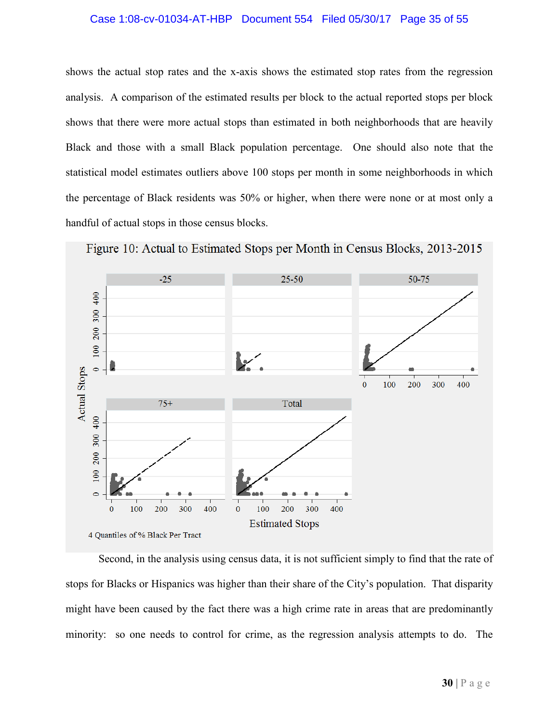# Case 1:08-cv-01034-AT-HBP Document 554 Filed 05/30/17 Page 35 of 55

shows the actual stop rates and the x-axis shows the estimated stop rates from the regression analysis. A comparison of the estimated results per block to the actual reported stops per block shows that there were more actual stops than estimated in both neighborhoods that are heavily Black and those with a small Black population percentage. One should also note that the statistical model estimates outliers above 100 stops per month in some neighborhoods in which the percentage of Black residents was 50% or higher, when there were none or at most only a handful of actual stops in those census blocks.



Figure 10: Actual to Estimated Stops per Month in Census Blocks, 2013-2015

Second, in the analysis using census data, it is not sufficient simply to find that the rate of stops for Blacks or Hispanics was higher than their share of the City's population. That disparity might have been caused by the fact there was a high crime rate in areas that are predominantly minority: so one needs to control for crime, as the regression analysis attempts to do. The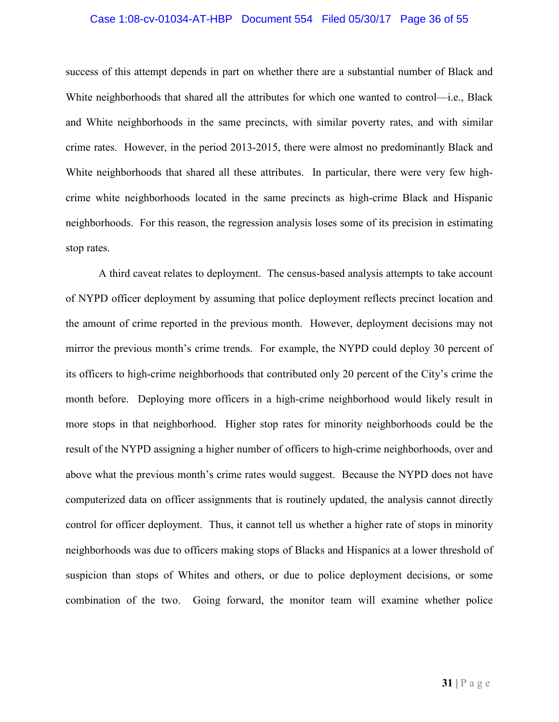# Case 1:08-cv-01034-AT-HBP Document 554 Filed 05/30/17 Page 36 of 55

success of this attempt depends in part on whether there are a substantial number of Black and White neighborhoods that shared all the attributes for which one wanted to control—i.e., Black and White neighborhoods in the same precincts, with similar poverty rates, and with similar crime rates. However, in the period 2013-2015, there were almost no predominantly Black and White neighborhoods that shared all these attributes. In particular, there were very few highcrime white neighborhoods located in the same precincts as high-crime Black and Hispanic neighborhoods. For this reason, the regression analysis loses some of its precision in estimating stop rates.

A third caveat relates to deployment. The census-based analysis attempts to take account of NYPD officer deployment by assuming that police deployment reflects precinct location and the amount of crime reported in the previous month. However, deployment decisions may not mirror the previous month's crime trends. For example, the NYPD could deploy 30 percent of its officers to high-crime neighborhoods that contributed only 20 percent of the City's crime the month before. Deploying more officers in a high-crime neighborhood would likely result in more stops in that neighborhood. Higher stop rates for minority neighborhoods could be the result of the NYPD assigning a higher number of officers to high-crime neighborhoods, over and above what the previous month's crime rates would suggest. Because the NYPD does not have computerized data on officer assignments that is routinely updated, the analysis cannot directly control for officer deployment. Thus, it cannot tell us whether a higher rate of stops in minority neighborhoods was due to officers making stops of Blacks and Hispanics at a lower threshold of suspicion than stops of Whites and others, or due to police deployment decisions, or some combination of the two. Going forward, the monitor team will examine whether police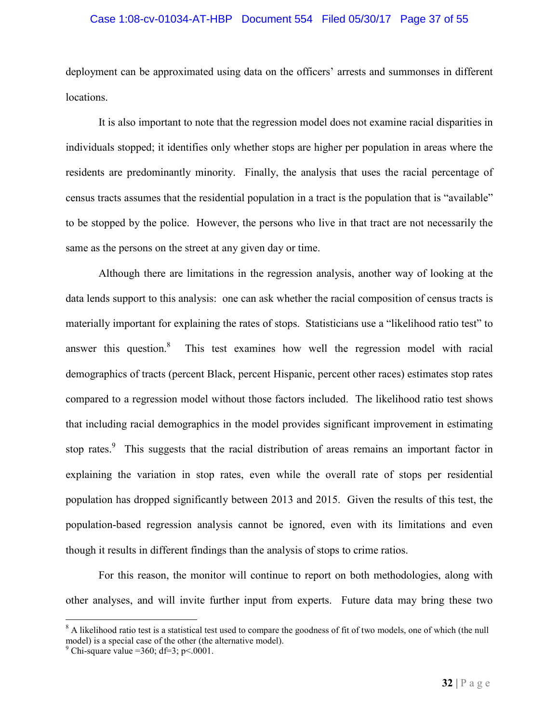# Case 1:08-cv-01034-AT-HBP Document 554 Filed 05/30/17 Page 37 of 55

deployment can be approximated using data on the officers' arrests and summonses in different locations.

It is also important to note that the regression model does not examine racial disparities in individuals stopped; it identifies only whether stops are higher per population in areas where the residents are predominantly minority. Finally, the analysis that uses the racial percentage of census tracts assumes that the residential population in a tract is the population that is "available" to be stopped by the police. However, the persons who live in that tract are not necessarily the same as the persons on the street at any given day or time.

Although there are limitations in the regression analysis, another way of looking at the data lends support to this analysis: one can ask whether the racial composition of census tracts is materially important for explaining the rates of stops. Statisticians use a "likelihood ratio test" to answer this question.<sup>8</sup> This test examines how well the regression model with racial demographics of tracts (percent Black, percent Hispanic, percent other races) estimates stop rates compared to a regression model without those factors included. The likelihood ratio test shows that including racial demographics in the model provides significant improvement in estimating stop rates.<sup>9</sup> This suggests that the racial distribution of areas remains an important factor in explaining the variation in stop rates, even while the overall rate of stops per residential population has dropped significantly between 2013 and 2015. Given the results of this test, the population-based regression analysis cannot be ignored, even with its limitations and even though it results in different findings than the analysis of stops to crime ratios.

For this reason, the monitor will continue to report on both methodologies, along with other analyses, and will invite further input from experts. Future data may bring these two

<sup>&</sup>lt;sup>8</sup> A likelihood ratio test is a statistical test used to compare the goodness of fit of two models, one of which (the null model) is a special case of the other (the alternative model).

<sup>&</sup>lt;sup>9</sup> Chi-square value =360; df=3; p<.0001.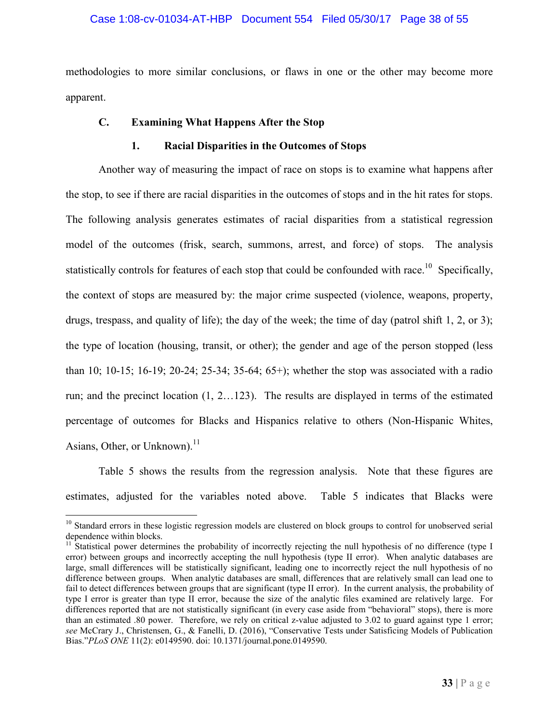#### Case 1:08-cv-01034-AT-HBP Document 554 Filed 05/30/17 Page 38 of 55

methodologies to more similar conclusions, or flaws in one or the other may become more apparent.

#### **C. Examining What Happens After the Stop**

#### **1. Racial Disparities in the Outcomes of Stops**

Another way of measuring the impact of race on stops is to examine what happens after the stop, to see if there are racial disparities in the outcomes of stops and in the hit rates for stops. The following analysis generates estimates of racial disparities from a statistical regression model of the outcomes (frisk, search, summons, arrest, and force) of stops. The analysis statistically controls for features of each stop that could be confounded with race.<sup>10</sup> Specifically, the context of stops are measured by: the major crime suspected (violence, weapons, property, drugs, trespass, and quality of life); the day of the week; the time of day (patrol shift 1, 2, or 3); the type of location (housing, transit, or other); the gender and age of the person stopped (less than 10; 10-15; 16-19; 20-24; 25-34; 35-64; 65+); whether the stop was associated with a radio run; and the precinct location (1, 2…123). The results are displayed in terms of the estimated percentage of outcomes for Blacks and Hispanics relative to others (Non-Hispanic Whites, Asians, Other, or Unknown). $^{11}$ 

Table 5 shows the results from the regression analysis. Note that these figures are estimates, adjusted for the variables noted above. Table 5 indicates that Blacks were

<sup>&</sup>lt;sup>10</sup> Standard errors in these logistic regression models are clustered on block groups to control for unobserved serial dependence within blocks.

 $11$  Statistical power determines the probability of incorrectly rejecting the null hypothesis of no difference (type I error) between groups and incorrectly accepting the null hypothesis (type II error). When analytic databases are large, small differences will be statistically significant, leading one to incorrectly reject the null hypothesis of no difference between groups. When analytic databases are small, differences that are relatively small can lead one to fail to detect differences between groups that are significant (type II error). In the current analysis, the probability of type I error is greater than type II error, because the size of the analytic files examined are relatively large. For differences reported that are not statistically significant (in every case aside from "behavioral" stops), there is more than an estimated .80 power. Therefore, we rely on critical z-value adjusted to 3.02 to guard against type 1 error; *see* McCrary J., Christensen, G., & Fanelli, D. (2016), "Conservative Tests under Satisficing Models of Publication Bias."*PLoS ONE* 11(2): e0149590. doi: 10.1371/journal.pone.0149590.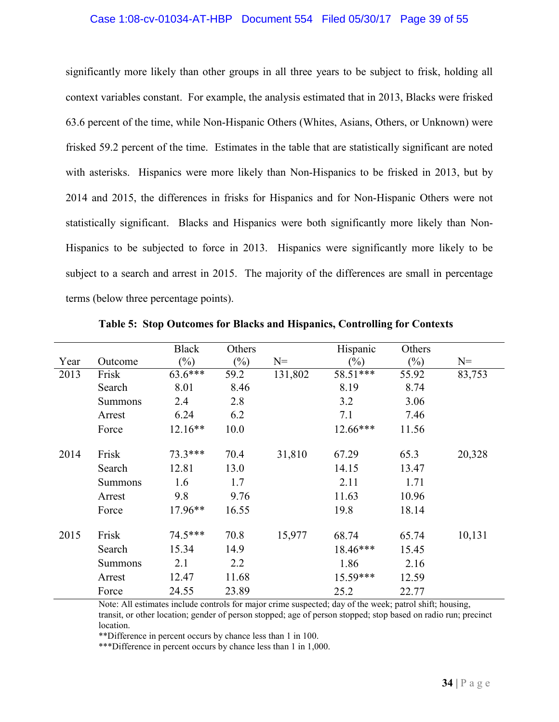#### Case 1:08-cv-01034-AT-HBP Document 554 Filed 05/30/17 Page 39 of 55

significantly more likely than other groups in all three years to be subject to frisk, holding all context variables constant. For example, the analysis estimated that in 2013, Blacks were frisked 63.6 percent of the time, while Non-Hispanic Others (Whites, Asians, Others, or Unknown) were frisked 59.2 percent of the time. Estimates in the table that are statistically significant are noted with asterisks. Hispanics were more likely than Non-Hispanics to be frisked in 2013, but by 2014 and 2015, the differences in frisks for Hispanics and for Non-Hispanic Others were not statistically significant. Blacks and Hispanics were both significantly more likely than Non-Hispanics to be subjected to force in 2013. Hispanics were significantly more likely to be subject to a search and arrest in 2015. The majority of the differences are small in percentage terms (below three percentage points).

|      |                | <b>Black</b>   | Others         |         | Hispanic | Others |        |
|------|----------------|----------------|----------------|---------|----------|--------|--------|
| Year | Outcome        | $\binom{0}{0}$ | $\binom{0}{0}$ | $N=$    | $(\%)$   | $(\%)$ | $N=$   |
| 2013 | Frisk          | 63.6***        | 59.2           | 131,802 | 58.51*** | 55.92  | 83,753 |
|      | Search         | 8.01           | 8.46           |         | 8.19     | 8.74   |        |
|      | <b>Summons</b> | 2.4            | 2.8            |         | 3.2      | 3.06   |        |
|      | Arrest         | 6.24           | 6.2            |         | 7.1      | 7.46   |        |
|      | Force          | $12.16**$      | 10.0           |         | 12.66*** | 11.56  |        |
| 2014 | Frisk          | 73.3 ***       | 70.4           | 31,810  | 67.29    | 65.3   | 20,328 |
|      | Search         | 12.81          | 13.0           |         | 14.15    | 13.47  |        |
|      | <b>Summons</b> | 1.6            | 1.7            |         | 2.11     | 1.71   |        |
|      | Arrest         | 9.8            | 9.76           |         | 11.63    | 10.96  |        |
|      | Force          | 17.96**        | 16.55          |         | 19.8     | 18.14  |        |
| 2015 | Frisk          | 74.5***        | 70.8           | 15,977  | 68.74    | 65.74  | 10,131 |
|      | Search         | 15.34          | 14.9           |         | 18.46*** | 15.45  |        |
|      | <b>Summons</b> | 2.1            | 2.2            |         | 1.86     | 2.16   |        |
|      | Arrest         | 12.47          | 11.68          |         | 15.59*** | 12.59  |        |
|      | Force          | 24.55          | 23.89          |         | 25.2     | 22.77  |        |

**Table 5: Stop Outcomes for Blacks and Hispanics, Controlling for Contexts**

Note: All estimates include controls for major crime suspected; day of the week; patrol shift; housing, transit, or other location; gender of person stopped; age of person stopped; stop based on radio run; precinct location.

\*\*Difference in percent occurs by chance less than 1 in 100.

\*\*\*Difference in percent occurs by chance less than 1 in 1,000.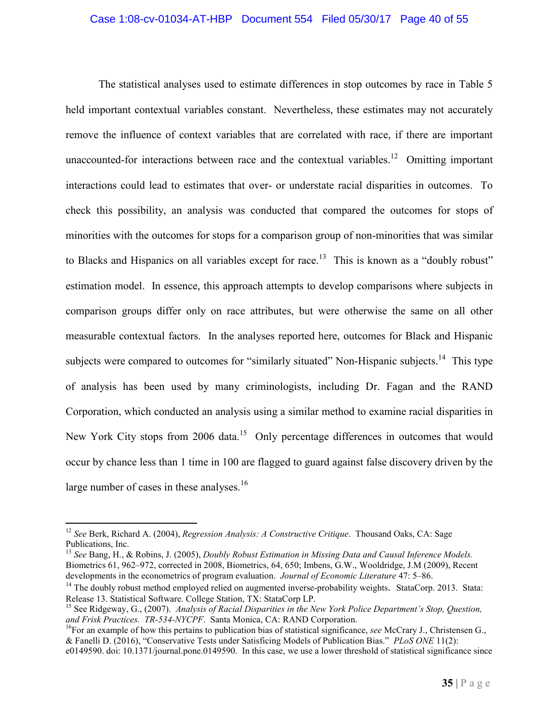# Case 1:08-cv-01034-AT-HBP Document 554 Filed 05/30/17 Page 40 of 55

The statistical analyses used to estimate differences in stop outcomes by race in Table 5 held important contextual variables constant. Nevertheless, these estimates may not accurately remove the influence of context variables that are correlated with race, if there are important unaccounted-for interactions between race and the contextual variables.<sup>12</sup> Omitting important interactions could lead to estimates that over- or understate racial disparities in outcomes. To check this possibility, an analysis was conducted that compared the outcomes for stops of minorities with the outcomes for stops for a comparison group of non-minorities that was similar to Blacks and Hispanics on all variables except for race.<sup>13</sup> This is known as a "doubly robust" estimation model. In essence, this approach attempts to develop comparisons where subjects in comparison groups differ only on race attributes, but were otherwise the same on all other measurable contextual factors. In the analyses reported here, outcomes for Black and Hispanic subjects were compared to outcomes for "similarly situated" Non-Hispanic subjects.<sup>14</sup> This type of analysis has been used by many criminologists, including Dr. Fagan and the RAND Corporation, which conducted an analysis using a similar method to examine racial disparities in New York City stops from 2006 data.<sup>15</sup> Only percentage differences in outcomes that would occur by chance less than 1 time in 100 are flagged to guard against false discovery driven by the large number of cases in these analyses.<sup>16</sup>

<sup>12</sup> *See* Berk, Richard A. (2004), *Regression Analysis: A Constructive Critique*. Thousand Oaks, CA: Sage Publications, Inc.

<sup>13</sup> *See* Bang, H., & Robins, J. (2005), *Doubly Robust Estimation in Missing Data and Causal Inference Models.* Biometrics 61, 962–972, corrected in 2008, Biometrics, 64, 650; Imbens, G.W., Wooldridge, J.M (2009), Recent developments in the econometrics of program evaluation. *Journal of Economic Literature* 47: 5–86.

<sup>&</sup>lt;sup>14</sup> The doubly robust method employed relied on augmented inverse-probability weights. StataCorp. 2013. Stata: Release 13. Statistical Software. College Station, TX: StataCorp LP.

<sup>15</sup> See Ridgeway, G., (2007). *Analysis of Racial Disparities in the New York Police Department's Stop, Question, and Frisk Practices. TR-534-NYCPF*. Santa Monica, CA: RAND Corporation.

<sup>&</sup>lt;sup>16</sup>For an example of how this pertains to publication bias of statistical significance, *see* McCrary J., Christensen G., & Fanelli D. (2016), "Conservative Tests under Satisficing Models of Publication Bias." *PLoS ONE* 11(2):

e0149590. doi: 10.1371/journal.pone.0149590. In this case, we use a lower threshold of statistical significance since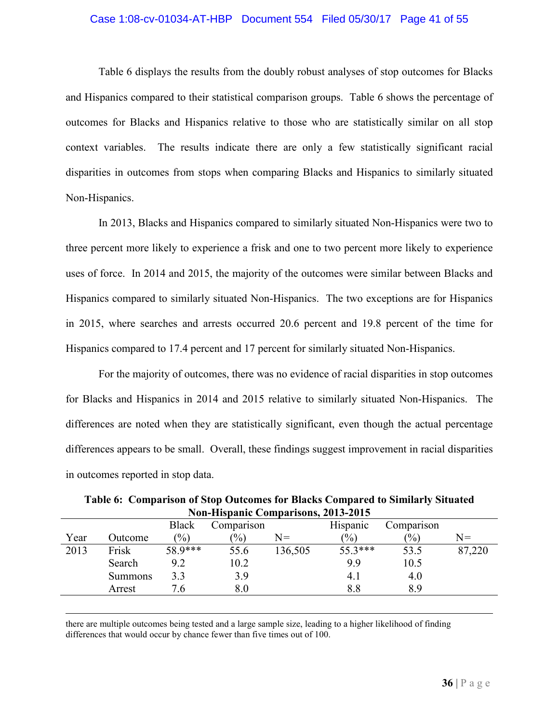#### Case 1:08-cv-01034-AT-HBP Document 554 Filed 05/30/17 Page 41 of 55

Table 6 displays the results from the doubly robust analyses of stop outcomes for Blacks and Hispanics compared to their statistical comparison groups. Table 6 shows the percentage of outcomes for Blacks and Hispanics relative to those who are statistically similar on all stop context variables. The results indicate there are only a few statistically significant racial disparities in outcomes from stops when comparing Blacks and Hispanics to similarly situated Non-Hispanics.

In 2013, Blacks and Hispanics compared to similarly situated Non-Hispanics were two to three percent more likely to experience a frisk and one to two percent more likely to experience uses of force. In 2014 and 2015, the majority of the outcomes were similar between Blacks and Hispanics compared to similarly situated Non-Hispanics. The two exceptions are for Hispanics in 2015, where searches and arrests occurred 20.6 percent and 19.8 percent of the time for Hispanics compared to 17.4 percent and 17 percent for similarly situated Non-Hispanics.

For the majority of outcomes, there was no evidence of racial disparities in stop outcomes for Blacks and Hispanics in 2014 and 2015 relative to similarly situated Non-Hispanics. The differences are noted when they are statistically significant, even though the actual percentage differences appears to be small. Overall, these findings suggest improvement in racial disparities in outcomes reported in stop data.

|      |                |               | NON-HISPANIC COMPATISONS, 2015-2015 |         |                 |            |        |
|------|----------------|---------------|-------------------------------------|---------|-----------------|------------|--------|
|      |                | <b>Black</b>  | Comparison                          |         | <b>Hispanic</b> | Comparison |        |
| Year | Outcome        | $\frac{6}{2}$ | $(\%)$                              | $N=$    | $(\%)$          | $(\%)$     | $N=$   |
| 2013 | Frisk          | 58.9***       | 55.6                                | 136,505 | $55.3***$       | 53.5       | 87,220 |
|      | Search         | 9.2           | 10.2                                |         | 9.9             | 10.5       |        |
|      | <b>Summons</b> | 3.3           | 3.9                                 |         | 4.1             | 4.0        |        |
|      | Arrest         | 7.6           | $8.0\,$                             |         | $8.8\,$         | 8.9        |        |
|      |                |               |                                     |         |                 |            |        |

**Table 6: Comparison of Stop Outcomes for Blacks Compared to Similarly Situated Non-Hispanic Comparisons, 2013-2015**

there are multiple outcomes being tested and a large sample size, leading to a higher likelihood of finding differences that would occur by chance fewer than five times out of 100.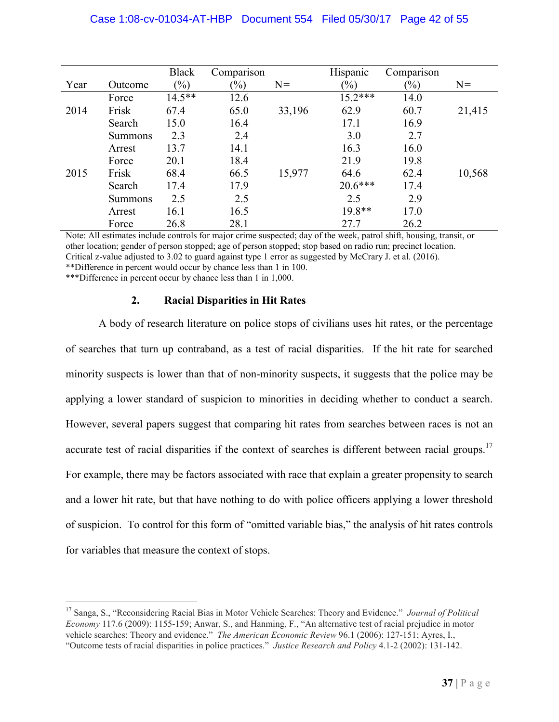# Case 1:08-cv-01034-AT-HBP Document 554 Filed 05/30/17 Page 42 of 55

|      |                | <b>Black</b>   | Comparison |        | <b>Hispanic</b> | Comparison |        |
|------|----------------|----------------|------------|--------|-----------------|------------|--------|
| Year | Outcome        | $\binom{0}{0}$ | $(\%)$     | $N=$   | $(\%)$          | $(\%)$     | $N=$   |
|      | Force          | $14.5***$      | 12.6       |        | $15.2***$       | 14.0       |        |
| 2014 | Frisk          | 67.4           | 65.0       | 33,196 | 62.9            | 60.7       | 21,415 |
|      | Search         | 15.0           | 16.4       |        | 17.1            | 16.9       |        |
|      | <b>Summons</b> | 2.3            | 2.4        |        | 3.0             | 2.7        |        |
|      | Arrest         | 13.7           | 14.1       |        | 16.3            | 16.0       |        |
|      | Force          | 20.1           | 18.4       |        | 21.9            | 19.8       |        |
| 2015 | Frisk          | 68.4           | 66.5       | 15,977 | 64.6            | 62.4       | 10,568 |
|      | Search         | 17.4           | 17.9       |        | $20.6***$       | 17.4       |        |
|      | <b>Summons</b> | 2.5            | 2.5        |        | 2.5             | 2.9        |        |
|      | Arrest         | 16.1           | 16.5       |        | 19.8**          | 17.0       |        |
|      | Force          | 26.8           | 28.1       |        | 27.7            | 26.2       |        |

Note: All estimates include controls for major crime suspected; day of the week, patrol shift, housing, transit, or other location; gender of person stopped; age of person stopped; stop based on radio run; precinct location. Critical z-value adjusted to 3.02 to guard against type 1 error as suggested by McCrary J. et al. (2016). \*\*Difference in percent would occur by chance less than 1 in 100.

\*\*\*Difference in percent occur by chance less than 1 in 1,000.

#### **2. Racial Disparities in Hit Rates**

A body of research literature on police stops of civilians uses hit rates, or the percentage of searches that turn up contraband, as a test of racial disparities. If the hit rate for searched minority suspects is lower than that of non-minority suspects, it suggests that the police may be applying a lower standard of suspicion to minorities in deciding whether to conduct a search. However, several papers suggest that comparing hit rates from searches between races is not an accurate test of racial disparities if the context of searches is different between racial groups.<sup>17</sup> For example, there may be factors associated with race that explain a greater propensity to search and a lower hit rate, but that have nothing to do with police officers applying a lower threshold of suspicion. To control for this form of "omitted variable bias," the analysis of hit rates controls for variables that measure the context of stops.

<sup>17</sup> Sanga, S., "Reconsidering Racial Bias in Motor Vehicle Searches: Theory and Evidence." *Journal of Political Economy* 117.6 (2009): 1155-159; Anwar, S., and Hanming, F., "An alternative test of racial prejudice in motor vehicle searches: Theory and evidence." *The American Economic Review* 96.1 (2006): 127-151; Ayres, I., "Outcome tests of racial disparities in police practices." *Justice Research and Policy* 4.1-2 (2002): 131-142.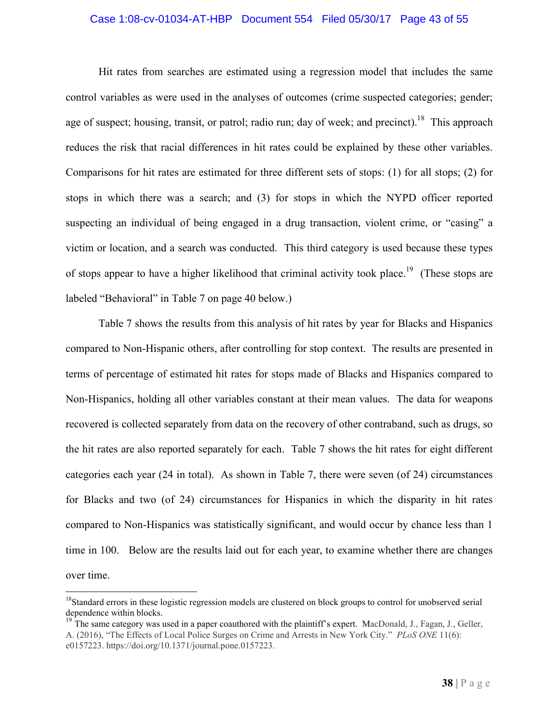#### Case 1:08-cv-01034-AT-HBP Document 554 Filed 05/30/17 Page 43 of 55

Hit rates from searches are estimated using a regression model that includes the same control variables as were used in the analyses of outcomes (crime suspected categories; gender; age of suspect; housing, transit, or patrol; radio run; day of week; and precinct).<sup>18</sup> This approach reduces the risk that racial differences in hit rates could be explained by these other variables. Comparisons for hit rates are estimated for three different sets of stops: (1) for all stops; (2) for stops in which there was a search; and (3) for stops in which the NYPD officer reported suspecting an individual of being engaged in a drug transaction, violent crime, or "casing" a victim or location, and a search was conducted. This third category is used because these types of stops appear to have a higher likelihood that criminal activity took place.<sup>19</sup> (These stops are labeled "Behavioral" in Table 7 on page 40 below.)

Table 7 shows the results from this analysis of hit rates by year for Blacks and Hispanics compared to Non-Hispanic others, after controlling for stop context. The results are presented in terms of percentage of estimated hit rates for stops made of Blacks and Hispanics compared to Non-Hispanics, holding all other variables constant at their mean values. The data for weapons recovered is collected separately from data on the recovery of other contraband, such as drugs, so the hit rates are also reported separately for each. Table 7 shows the hit rates for eight different categories each year (24 in total). As shown in Table 7, there were seven (of 24) circumstances for Blacks and two (of 24) circumstances for Hispanics in which the disparity in hit rates compared to Non-Hispanics was statistically significant, and would occur by chance less than 1 time in 100. Below are the results laid out for each year, to examine whether there are changes over time.

<sup>&</sup>lt;sup>18</sup>Standard errors in these logistic regression models are clustered on block groups to control for unobserved serial dependence within blocks.

<sup>&</sup>lt;sup>19</sup> The same category was used in a paper coauthored with the plaintiff's expert. MacDonald, J., Fagan, J., Geller, A. (2016), "The Effects of Local Police Surges on Crime and Arrests in New York City." *PLoS ONE* 11(6): e0157223. https://doi.org/10.1371/journal.pone.0157223.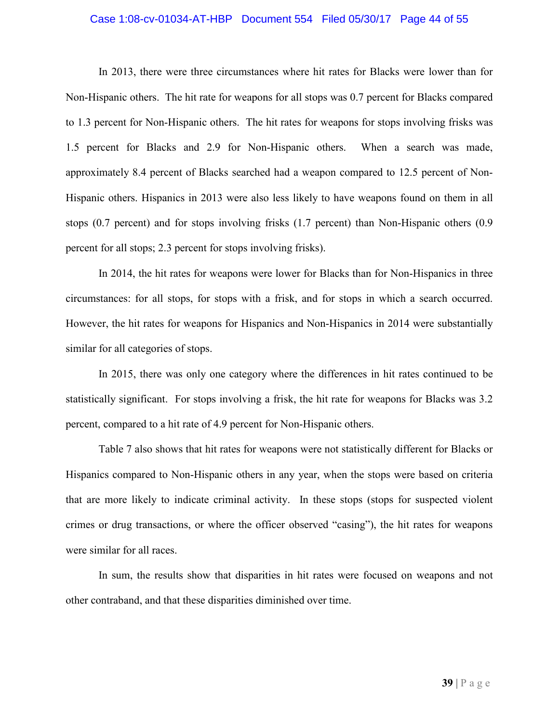#### Case 1:08-cv-01034-AT-HBP Document 554 Filed 05/30/17 Page 44 of 55

In 2013, there were three circumstances where hit rates for Blacks were lower than for Non-Hispanic others. The hit rate for weapons for all stops was 0.7 percent for Blacks compared to 1.3 percent for Non-Hispanic others. The hit rates for weapons for stops involving frisks was 1.5 percent for Blacks and 2.9 for Non-Hispanic others. When a search was made, approximately 8.4 percent of Blacks searched had a weapon compared to 12.5 percent of Non-Hispanic others. Hispanics in 2013 were also less likely to have weapons found on them in all stops (0.7 percent) and for stops involving frisks (1.7 percent) than Non-Hispanic others (0.9 percent for all stops; 2.3 percent for stops involving frisks).

In 2014, the hit rates for weapons were lower for Blacks than for Non-Hispanics in three circumstances: for all stops, for stops with a frisk, and for stops in which a search occurred. However, the hit rates for weapons for Hispanics and Non-Hispanics in 2014 were substantially similar for all categories of stops.

In 2015, there was only one category where the differences in hit rates continued to be statistically significant. For stops involving a frisk, the hit rate for weapons for Blacks was 3.2 percent, compared to a hit rate of 4.9 percent for Non-Hispanic others.

Table 7 also shows that hit rates for weapons were not statistically different for Blacks or Hispanics compared to Non-Hispanic others in any year, when the stops were based on criteria that are more likely to indicate criminal activity. In these stops (stops for suspected violent crimes or drug transactions, or where the officer observed "casing"), the hit rates for weapons were similar for all races.

In sum, the results show that disparities in hit rates were focused on weapons and not other contraband, and that these disparities diminished over time.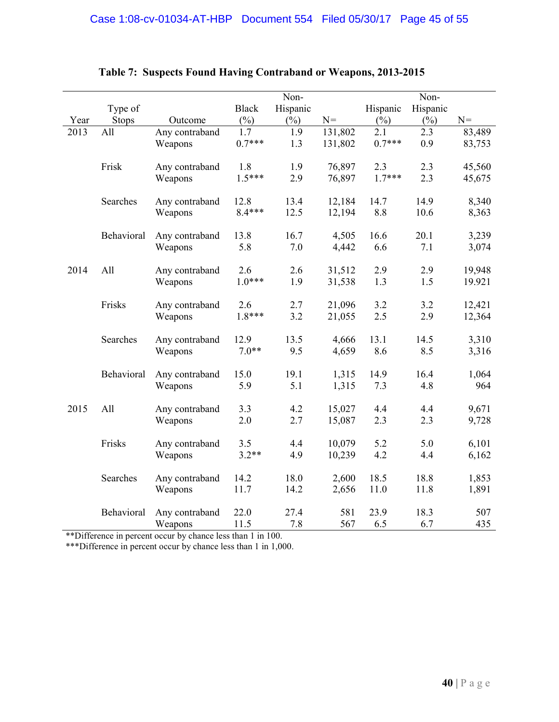|      |              |                           |              | Non-     |         |          | Non-     |        |
|------|--------------|---------------------------|--------------|----------|---------|----------|----------|--------|
|      | Type of      |                           | <b>Black</b> | Hispanic |         | Hispanic | Hispanic |        |
| Year | <b>Stops</b> | Outcome                   | $(\%)$       | $(\%)$   | $N =$   | $(\%)$   | $(\%)$   | $N =$  |
| 2013 | All          | Any contraband            | 1.7          | 1.9      | 131,802 | 2.1      | 2.3      | 83,489 |
|      |              | Weapons                   | $0.7***$     | 1.3      | 131,802 | $0.7***$ | 0.9      | 83,753 |
|      |              |                           |              |          |         |          |          |        |
|      | Frisk        | Any contraband            | 1.8          | 1.9      | 76,897  | 2.3      | 2.3      | 45,560 |
|      |              | Weapons                   | $1.5***$     | 2.9      | 76,897  | $1.7***$ | 2.3      | 45,675 |
|      |              |                           |              |          |         |          |          |        |
|      | Searches     | Any contraband            | 12.8         | 13.4     | 12,184  | 14.7     | 14.9     | 8,340  |
|      |              | Weapons                   | 8.4***       | 12.5     | 12,194  | 8.8      | 10.6     | 8,363  |
|      |              |                           |              |          |         |          |          |        |
|      | Behavioral   | Any contraband            | 13.8         | 16.7     | 4,505   | 16.6     | 20.1     | 3,239  |
|      |              | Weapons                   | 5.8          | $7.0\,$  | 4,442   | 6.6      | 7.1      | 3,074  |
|      |              |                           |              |          |         |          |          |        |
| 2014 | All          | Any contraband            | 2.6          | 2.6      | 31,512  | 2.9      | 2.9      | 19,948 |
|      |              | Weapons                   | $1.0***$     | 1.9      | 31,538  | 1.3      | 1.5      | 19.921 |
|      |              |                           |              |          |         |          |          |        |
|      | Frisks       | Any contraband            | 2.6          | 2.7      | 21,096  | 3.2      | 3.2      | 12,421 |
|      |              | Weapons                   | $1.8***$     | 3.2      | 21,055  | 2.5      | 2.9      | 12,364 |
|      |              |                           |              |          |         |          |          |        |
|      | Searches     | Any contraband            | 12.9         | 13.5     | 4,666   | 13.1     | 14.5     | 3,310  |
|      |              | Weapons                   | $7.0**$      | 9.5      | 4,659   | 8.6      | 8.5      | 3,316  |
|      | Behavioral   |                           | 15.0         | 19.1     | 1,315   | 14.9     | 16.4     | 1,064  |
|      |              | Any contraband<br>Weapons | 5.9          | 5.1      | 1,315   | 7.3      | 4.8      | 964    |
|      |              |                           |              |          |         |          |          |        |
| 2015 | All          | Any contraband            | 3.3          | 4.2      | 15,027  | 4.4      | 4.4      | 9,671  |
|      |              | Weapons                   | 2.0          | 2.7      | 15,087  | 2.3      | 2.3      | 9,728  |
|      |              |                           |              |          |         |          |          |        |
|      | Frisks       | Any contraband            | 3.5          | 4.4      | 10,079  | 5.2      | 5.0      | 6,101  |
|      |              | Weapons                   | $3.2**$      | 4.9      | 10,239  | 4.2      | 4.4      | 6,162  |
|      |              |                           |              |          |         |          |          |        |
|      | Searches     | Any contraband            | 14.2         | 18.0     | 2,600   | 18.5     | 18.8     | 1,853  |
|      |              | Weapons                   | 11.7         | 14.2     | 2,656   | 11.0     | 11.8     | 1,891  |
|      |              |                           |              |          |         |          |          |        |
|      | Behavioral   | Any contraband            | 22.0         | 27.4     | 581     | 23.9     | 18.3     | 507    |
|      |              | Weapons                   | 11.5         | 7.8      | 567     | 6.5      | 6.7      | 435    |

# **Table 7: Suspects Found Having Contraband or Weapons, 2013-2015**

\*\*Difference in percent occur by chance less than 1 in 100.

\*\*\*Difference in percent occur by chance less than 1 in 1,000.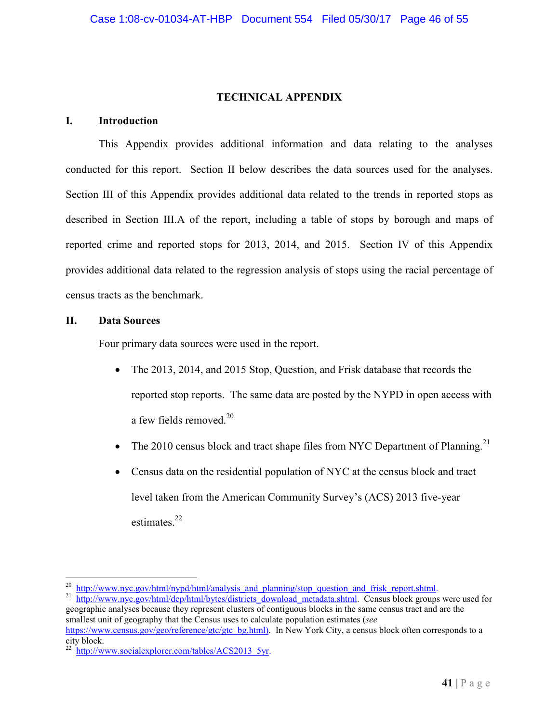# **TECHNICAL APPENDIX**

### **I. Introduction**

This Appendix provides additional information and data relating to the analyses conducted for this report. Section II below describes the data sources used for the analyses. Section III of this Appendix provides additional data related to the trends in reported stops as described in Section III.A of the report, including a table of stops by borough and maps of reported crime and reported stops for 2013, 2014, and 2015. Section IV of this Appendix provides additional data related to the regression analysis of stops using the racial percentage of census tracts as the benchmark.

#### **II. Data Sources**

Four primary data sources were used in the report.

- The 2013, 2014, and 2015 Stop, Question, and Frisk database that records the reported stop reports. The same data are posted by the NYPD in open access with a few fields removed. $20$
- The 2010 census block and tract shape files from NYC Department of Planning.<sup>21</sup>
- Census data on the residential population of NYC at the census block and tract level taken from the American Community Survey's (ACS) 2013 five-year estimates.<sup>22</sup>

<sup>&</sup>lt;sup>20</sup> http://www.nyc.gov/html/nypd/html/analysis and planning/stop question and frisk report.shtml.

<sup>&</sup>lt;sup>21</sup> http://www.nyc.gov/html/dcp/html/bytes/districts\_download\_metadata.shtml. Census block groups were used for geographic analyses because they represent clusters of contiguous blocks in the same census tract and are the smallest unit of geography that the Census uses to calculate population estimates (*see* https://www.census.gov/geo/reference/gtc/gtc\_bg.html). In New York City, a census block often corresponds to a

city block.

http://www.socialexplorer.com/tables/ACS2013\_5yr.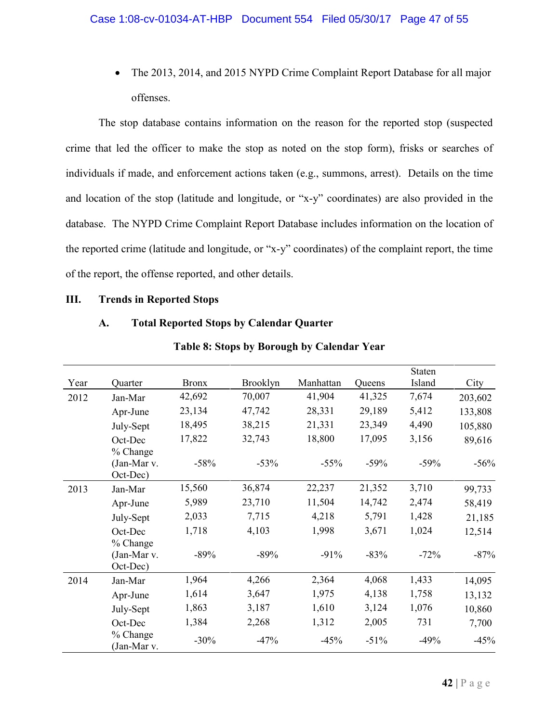• The 2013, 2014, and 2015 NYPD Crime Complaint Report Database for all major offenses.

The stop database contains information on the reason for the reported stop (suspected crime that led the officer to make the stop as noted on the stop form), frisks or searches of individuals if made, and enforcement actions taken (e.g., summons, arrest). Details on the time and location of the stop (latitude and longitude, or "x-y" coordinates) are also provided in the database. The NYPD Crime Complaint Report Database includes information on the location of the reported crime (latitude and longitude, or "x-y" coordinates) of the complaint report, the time of the report, the offense reported, and other details.

#### **III. Trends in Reported Stops**

## **A. Total Reported Stops by Calendar Quarter**

|      |                                     |              |                 |           |        | <b>Staten</b> |         |
|------|-------------------------------------|--------------|-----------------|-----------|--------|---------------|---------|
| Year | Quarter                             | <b>Bronx</b> | <b>Brooklyn</b> | Manhattan | Queens | Island        | City    |
| 2012 | Jan-Mar                             | 42,692       | 70,007          | 41,904    | 41,325 | 7,674         | 203,602 |
|      | Apr-June                            | 23,134       | 47,742          | 28,331    | 29,189 | 5,412         | 133,808 |
|      | July-Sept                           | 18,495       | 38,215          | 21,331    | 23,349 | 4,490         | 105,880 |
|      | Oct-Dec<br>% Change                 | 17,822       | 32,743          | 18,800    | 17,095 | 3,156         | 89,616  |
|      | (Jan-Mar v.<br>Oct-Dec)             | $-58%$       | $-53%$          | $-55%$    | $-59%$ | $-59%$        | $-56%$  |
| 2013 | Jan-Mar                             | 15,560       | 36,874          | 22,237    | 21,352 | 3,710         | 99,733  |
|      | Apr-June                            | 5,989        | 23,710          | 11,504    | 14,742 | 2,474         | 58,419  |
|      | July-Sept                           | 2,033        | 7,715           | 4,218     | 5,791  | 1,428         | 21,185  |
|      | Oct-Dec                             | 1,718        | 4,103           | 1,998     | 3,671  | 1,024         | 12,514  |
|      | % Change<br>(Jan-Mar v.<br>Oct-Dec) | $-89%$       | $-89%$          | $-91%$    | $-83%$ | $-72%$        | $-87%$  |
| 2014 | Jan-Mar                             | 1,964        | 4,266           | 2,364     | 4,068  | 1,433         | 14,095  |
|      | Apr-June                            | 1,614        | 3,647           | 1,975     | 4,138  | 1,758         | 13,132  |
|      | July-Sept                           | 1,863        | 3,187           | 1,610     | 3,124  | 1,076         | 10,860  |
|      | Oct-Dec                             | 1,384        | 2,268           | 1,312     | 2,005  | 731           | 7,700   |
|      | % Change<br>(Jan-Mar v.             | $-30%$       | $-47%$          | $-45%$    | $-51%$ | $-49%$        | $-45%$  |

#### **Table 8: Stops by Borough by Calendar Year**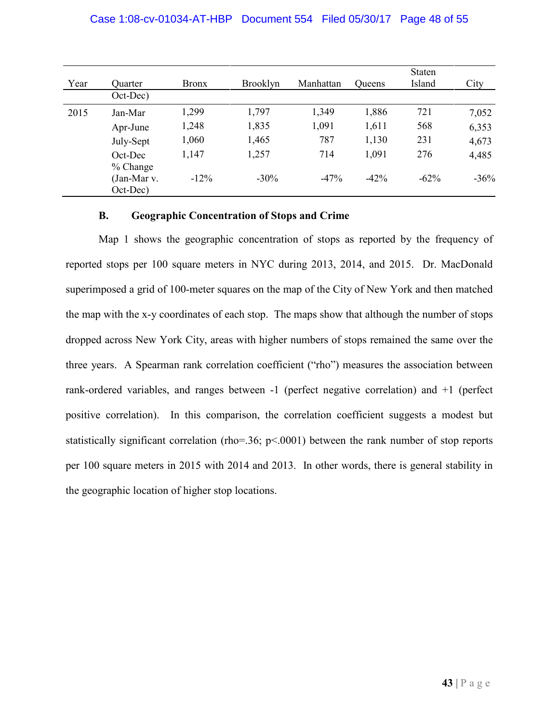## Case 1:08-cv-01034-AT-HBP Document 554 Filed 05/30/17 Page 48 of 55

| Year | Quarter                 | <b>Bronx</b> | <b>Brooklyn</b> | Manhattan | <b>Oueens</b> | <b>Staten</b><br>Island | City   |
|------|-------------------------|--------------|-----------------|-----------|---------------|-------------------------|--------|
|      | Oct-Dec)                |              |                 |           |               |                         |        |
| 2015 | Jan-Mar                 | 1,299        | 1,797           | 1,349     | 1,886         | 721                     | 7,052  |
|      | Apr-June                | 1,248        | 1,835           | 1,091     | 1,611         | 568                     | 6,353  |
|      | July-Sept               | 1,060        | 1,465           | 787       | 1,130         | 231                     | 4,673  |
|      | Oct-Dec<br>$%$ Change   | 1,147        | 1,257           | 714       | 1,091         | 276                     | 4,485  |
|      | (Jan-Mar v.<br>Oct-Dec) | $-12%$       | $-30\%$         | $-47%$    | $-42%$        | $-62\%$                 | $-36%$ |

## **B. Geographic Concentration of Stops and Crime**

Map 1 shows the geographic concentration of stops as reported by the frequency of reported stops per 100 square meters in NYC during 2013, 2014, and 2015. Dr. MacDonald superimposed a grid of 100-meter squares on the map of the City of New York and then matched the map with the x-y coordinates of each stop. The maps show that although the number of stops dropped across New York City, areas with higher numbers of stops remained the same over the three years. A Spearman rank correlation coefficient ("rho") measures the association between rank-ordered variables, and ranges between -1 (perfect negative correlation) and +1 (perfect positive correlation). In this comparison, the correlation coefficient suggests a modest but statistically significant correlation (rho=.36; p<.0001) between the rank number of stop reports per 100 square meters in 2015 with 2014 and 2013. In other words, there is general stability in the geographic location of higher stop locations.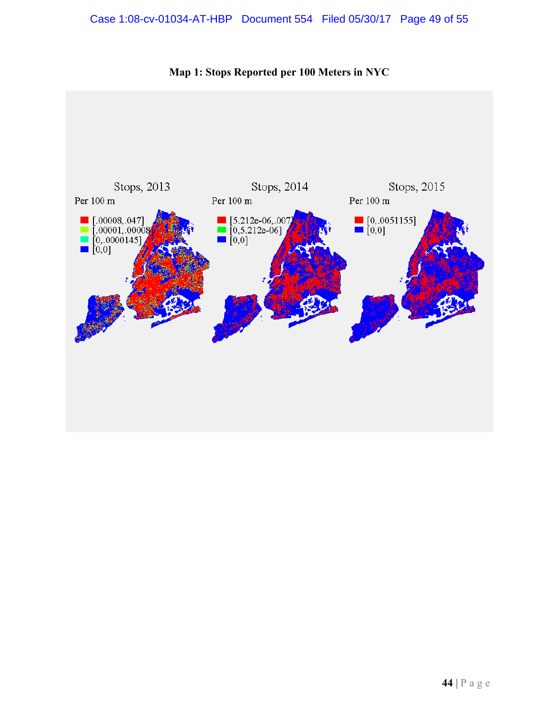# Case 1:08-cv-01034-AT-HBP Document 554 Filed 05/30/17 Page 49 of 55



**Map 1: Stops Reported per 100 Meters in NYC**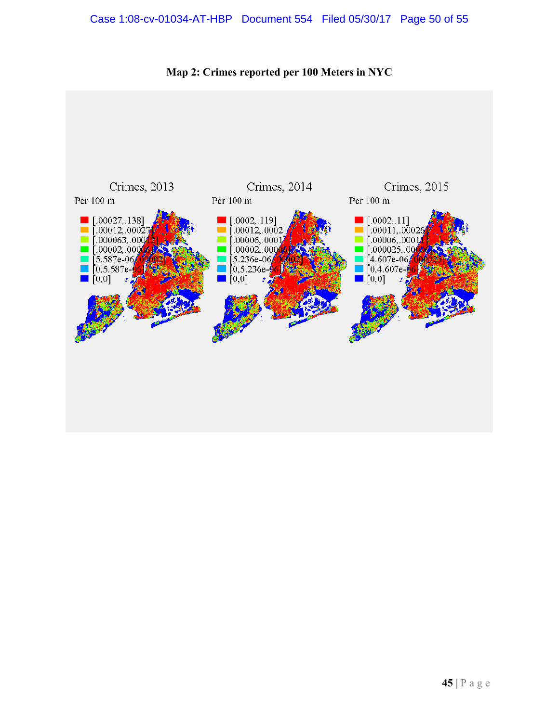# Case 1:08-cv-01034-AT-HBP Document 554 Filed 05/30/17 Page 50 of 55



**Map 2: Crimes reported per 100 Meters in NYC**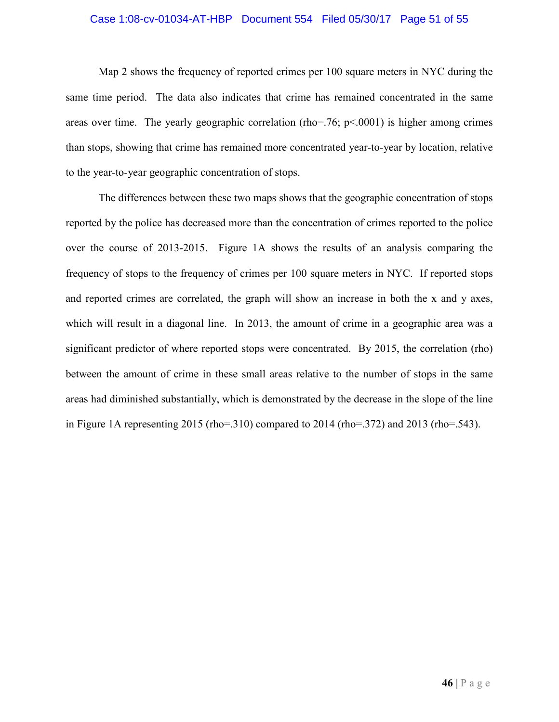#### Case 1:08-cv-01034-AT-HBP Document 554 Filed 05/30/17 Page 51 of 55

Map 2 shows the frequency of reported crimes per 100 square meters in NYC during the same time period. The data also indicates that crime has remained concentrated in the same areas over time. The yearly geographic correlation (rho=.76;  $p<.0001$ ) is higher among crimes than stops, showing that crime has remained more concentrated year-to-year by location, relative to the year-to-year geographic concentration of stops.

The differences between these two maps shows that the geographic concentration of stops reported by the police has decreased more than the concentration of crimes reported to the police over the course of 2013-2015. Figure 1A shows the results of an analysis comparing the frequency of stops to the frequency of crimes per 100 square meters in NYC. If reported stops and reported crimes are correlated, the graph will show an increase in both the x and y axes, which will result in a diagonal line. In 2013, the amount of crime in a geographic area was a significant predictor of where reported stops were concentrated. By 2015, the correlation (rho) between the amount of crime in these small areas relative to the number of stops in the same areas had diminished substantially, which is demonstrated by the decrease in the slope of the line in Figure 1A representing 2015 (rho=.310) compared to 2014 (rho=.372) and 2013 (rho=.543).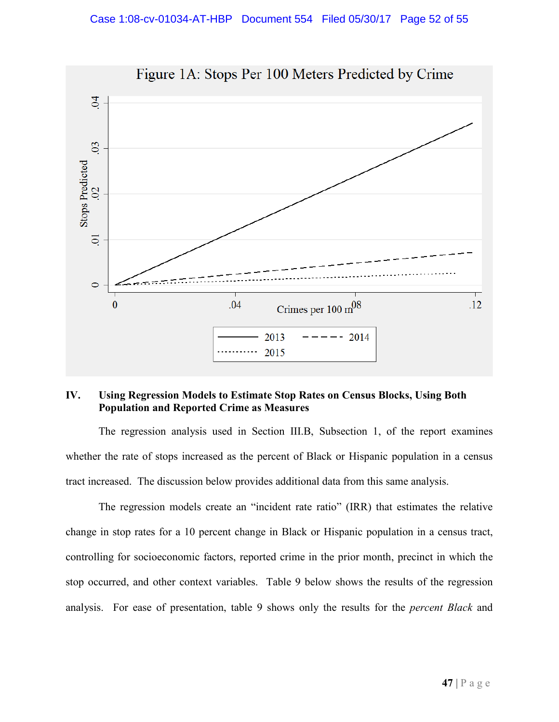

# **IV. Using Regression Models to Estimate Stop Rates on Census Blocks, Using Both Population and Reported Crime as Measures**

The regression analysis used in Section III.B, Subsection 1, of the report examines whether the rate of stops increased as the percent of Black or Hispanic population in a census tract increased. The discussion below provides additional data from this same analysis.

The regression models create an "incident rate ratio" (IRR) that estimates the relative change in stop rates for a 10 percent change in Black or Hispanic population in a census tract, controlling for socioeconomic factors, reported crime in the prior month, precinct in which the stop occurred, and other context variables. Table 9 below shows the results of the regression analysis. For ease of presentation, table 9 shows only the results for the *percent Black* and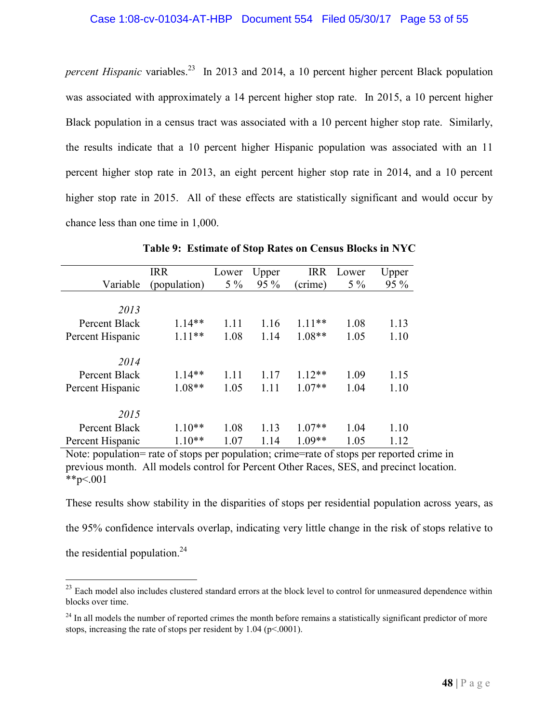*percent Hispanic* variables.<sup>23</sup> In 2013 and 2014, a 10 percent higher percent Black population was associated with approximately a 14 percent higher stop rate. In 2015, a 10 percent higher Black population in a census tract was associated with a 10 percent higher stop rate. Similarly, the results indicate that a 10 percent higher Hispanic population was associated with an 11 percent higher stop rate in 2013, an eight percent higher stop rate in 2014, and a 10 percent higher stop rate in 2015. All of these effects are statistically significant and would occur by chance less than one time in 1,000.

|                  | <b>IRR</b>   | Lower | Upper | <b>IRR</b> | Lower | Upper |
|------------------|--------------|-------|-------|------------|-------|-------|
| Variable         | (population) | $5\%$ | 95 %  | (crime)    | $5\%$ | 95 %  |
|                  |              |       |       |            |       |       |
| 2013             |              |       |       |            |       |       |
| Percent Black    | $1.14**$     | 1.11  | 1.16  | $1.11***$  | 1.08  | 1.13  |
| Percent Hispanic | $1.11**$     | 1.08  | 1.14  | $1.08**$   | 1.05  | 1.10  |
|                  |              |       |       |            |       |       |
| 2014             |              |       |       |            |       |       |
| Percent Black    | $1.14**$     | 1.11  | 1.17  | $1.12**$   | 1.09  | 1.15  |
| Percent Hispanic | $1.08**$     | 1.05  | 1.11  | $1.07**$   | 1.04  | 1.10  |
| 2015             |              |       |       |            |       |       |
| Percent Black    | $1.10**$     | 1.08  | 1.13  | $1.07**$   | 1.04  | 1.10  |
| Percent Hispanic | $1.10**$     | 1.07  | 1.14  | $1.09**$   | 1.05  | 1.12  |

**Table 9: Estimate of Stop Rates on Census Blocks in NYC**

Note: population= rate of stops per population; crime=rate of stops per reported crime in previous month. All models control for Percent Other Races, SES, and precinct location. \*\*p<.001

These results show stability in the disparities of stops per residential population across years, as the 95% confidence intervals overlap, indicating very little change in the risk of stops relative to the residential population. $^{24}$ 

 $23$  Each model also includes clustered standard errors at the block level to control for unmeasured dependence within blocks over time.

<sup>&</sup>lt;sup>24</sup> In all models the number of reported crimes the month before remains a statistically significant predictor of more stops, increasing the rate of stops per resident by  $1.04$  (p<.0001).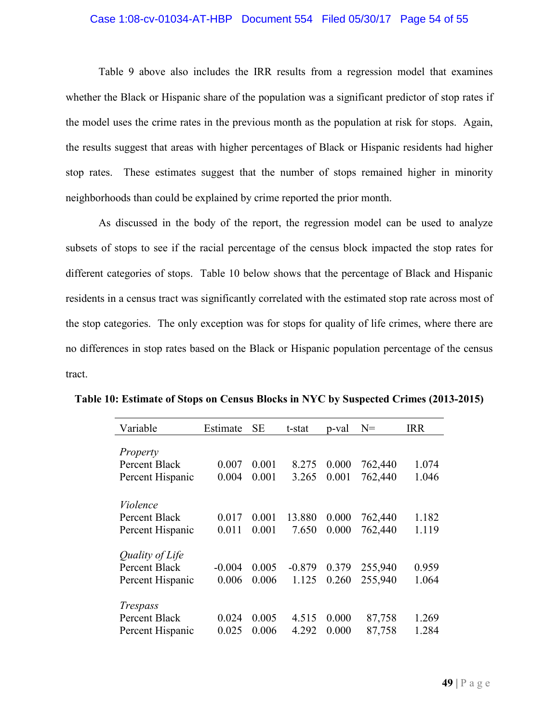#### Case 1:08-cv-01034-AT-HBP Document 554 Filed 05/30/17 Page 54 of 55

Table 9 above also includes the IRR results from a regression model that examines whether the Black or Hispanic share of the population was a significant predictor of stop rates if the model uses the crime rates in the previous month as the population at risk for stops. Again, the results suggest that areas with higher percentages of Black or Hispanic residents had higher stop rates. These estimates suggest that the number of stops remained higher in minority neighborhoods than could be explained by crime reported the prior month.

As discussed in the body of the report, the regression model can be used to analyze subsets of stops to see if the racial percentage of the census block impacted the stop rates for different categories of stops. Table 10 below shows that the percentage of Black and Hispanic residents in a census tract was significantly correlated with the estimated stop rate across most of the stop categories. The only exception was for stops for quality of life crimes, where there are no differences in stop rates based on the Black or Hispanic population percentage of the census tract.

| Variable         | Estimate | <b>SE</b> | t-stat   | p-val | $N =$   | <b>IRR</b> |
|------------------|----------|-----------|----------|-------|---------|------------|
|                  |          |           |          |       |         |            |
| Property         |          |           |          |       |         |            |
| Percent Black    | 0.007    | 0.001     | 8.275    | 0.000 | 762,440 | 1.074      |
| Percent Hispanic | 0.004    | 0.001     | 3.265    | 0.001 | 762,440 | 1.046      |
|                  |          |           |          |       |         |            |
| Violence         |          |           |          |       |         |            |
| Percent Black    | 0.017    | 0.001     | 13.880   | 0.000 | 762,440 | 1.182      |
| Percent Hispanic | 0.011    | 0.001     | 7.650    | 0.000 | 762,440 | 1.119      |
| Quality of Life  |          |           |          |       |         |            |
| Percent Black    | $-0.004$ | 0.005     | $-0.879$ | 0.379 | 255,940 | 0.959      |
| Percent Hispanic | 0.006    | 0.006     | 1.125    | 0.260 | 255,940 | 1.064      |
|                  |          |           |          |       |         |            |
| <i>Trespass</i>  |          |           |          |       |         |            |
| Percent Black    | 0.024    | 0.005     | 4.515    | 0.000 | 87,758  | 1.269      |
| Percent Hispanic | 0.025    | 0.006     | 4.292    | 0.000 | 87,758  | 1.284      |

**Table 10: Estimate of Stops on Census Blocks in NYC by Suspected Crimes (2013-2015)**